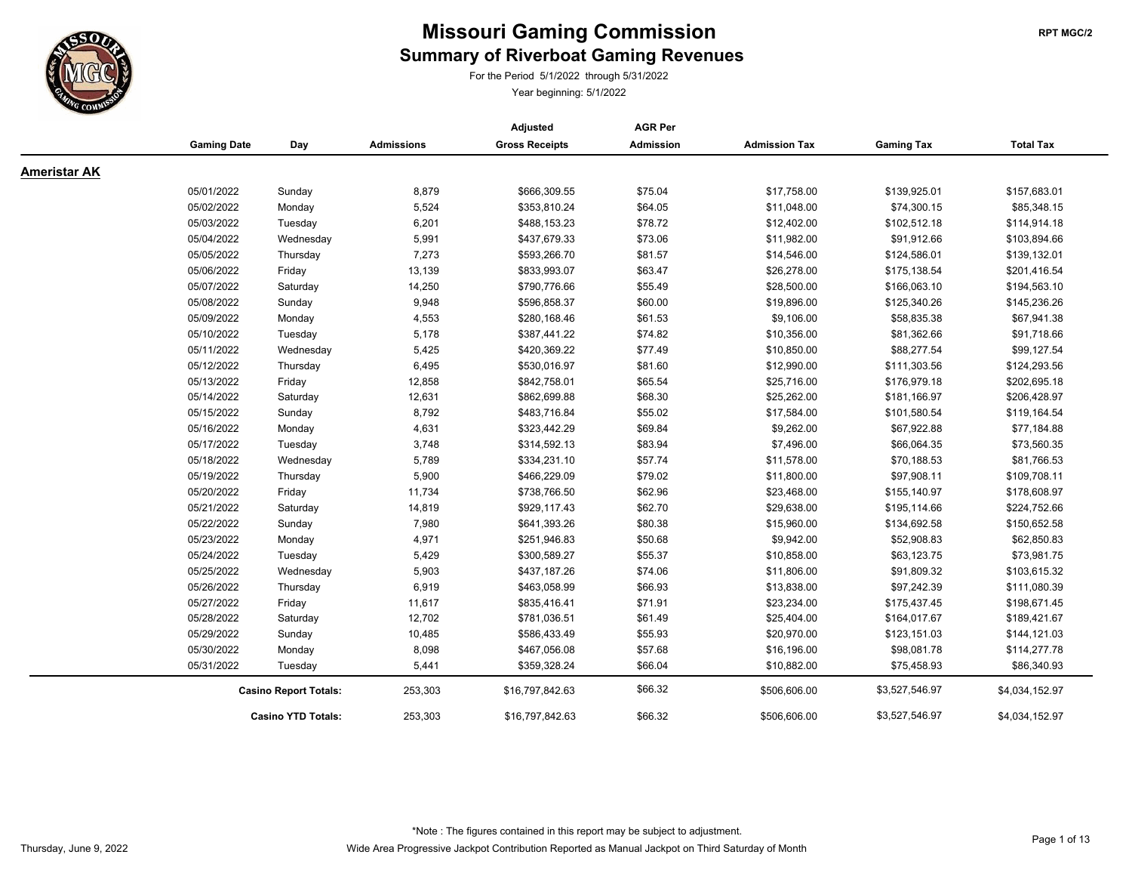

For the Period 5/1/2022 through 5/31/2022

|                     |                              |                           |                   | Adjusted              | <b>AGR Per</b>   |                      |                   |                  |
|---------------------|------------------------------|---------------------------|-------------------|-----------------------|------------------|----------------------|-------------------|------------------|
|                     | <b>Gaming Date</b>           | Day                       | <b>Admissions</b> | <b>Gross Receipts</b> | <b>Admission</b> | <b>Admission Tax</b> | <b>Gaming Tax</b> | <b>Total Tax</b> |
| <b>Ameristar AK</b> |                              |                           |                   |                       |                  |                      |                   |                  |
|                     | 05/01/2022                   | Sunday                    | 8,879             | \$666,309.55          | \$75.04          | \$17,758.00          | \$139,925.01      | \$157,683.01     |
|                     | 05/02/2022                   | Monday                    | 5,524             | \$353,810.24          | \$64.05          | \$11,048.00          | \$74,300.15       | \$85,348.15      |
|                     | 05/03/2022                   | Tuesday                   | 6,201             | \$488,153.23          | \$78.72          | \$12,402.00          | \$102,512.18      | \$114,914.18     |
|                     | 05/04/2022                   | Wednesday                 | 5,991             | \$437,679.33          | \$73.06          | \$11,982.00          | \$91,912.66       | \$103,894.66     |
|                     | 05/05/2022                   | Thursday                  | 7,273             | \$593,266.70          | \$81.57          | \$14,546.00          | \$124,586.01      | \$139,132.01     |
|                     | 05/06/2022                   | Friday                    | 13,139            | \$833,993.07          | \$63.47          | \$26,278.00          | \$175,138.54      | \$201,416.54     |
|                     | 05/07/2022                   | Saturday                  | 14,250            | \$790,776.66          | \$55.49          | \$28,500.00          | \$166,063.10      | \$194,563.10     |
|                     | 05/08/2022                   | Sunday                    | 9,948             | \$596,858.37          | \$60.00          | \$19,896.00          | \$125,340.26      | \$145,236.26     |
|                     | 05/09/2022                   | Monday                    | 4,553             | \$280,168.46          | \$61.53          | \$9,106.00           | \$58,835.38       | \$67,941.38      |
|                     | 05/10/2022                   | Tuesday                   | 5,178             | \$387,441.22          | \$74.82          | \$10,356.00          | \$81,362.66       | \$91,718.66      |
|                     | 05/11/2022                   | Wednesday                 | 5,425             | \$420,369.22          | \$77.49          | \$10,850.00          | \$88,277.54       | \$99,127.54      |
|                     | 05/12/2022                   | Thursday                  | 6,495             | \$530,016.97          | \$81.60          | \$12,990.00          | \$111,303.56      | \$124,293.56     |
|                     | 05/13/2022                   | Friday                    | 12,858            | \$842,758.01          | \$65.54          | \$25,716.00          | \$176,979.18      | \$202,695.18     |
|                     | 05/14/2022                   | Saturday                  | 12,631            | \$862,699.88          | \$68.30          | \$25,262.00          | \$181,166.97      | \$206,428.97     |
|                     | 05/15/2022                   | Sunday                    | 8,792             | \$483,716.84          | \$55.02          | \$17,584.00          | \$101,580.54      | \$119,164.54     |
|                     | 05/16/2022                   | Monday                    | 4,631             | \$323,442.29          | \$69.84          | \$9,262.00           | \$67,922.88       | \$77,184.88      |
|                     | 05/17/2022                   | Tuesday                   | 3,748             | \$314,592.13          | \$83.94          | \$7,496.00           | \$66,064.35       | \$73,560.35      |
|                     | 05/18/2022                   | Wednesday                 | 5,789             | \$334,231.10          | \$57.74          | \$11,578.00          | \$70,188.53       | \$81,766.53      |
|                     | 05/19/2022                   | Thursday                  | 5,900             | \$466,229.09          | \$79.02          | \$11,800.00          | \$97,908.11       | \$109,708.11     |
|                     | 05/20/2022                   | Friday                    | 11,734            | \$738,766.50          | \$62.96          | \$23,468.00          | \$155,140.97      | \$178,608.97     |
|                     | 05/21/2022                   | Saturday                  | 14,819            | \$929,117.43          | \$62.70          | \$29,638.00          | \$195,114.66      | \$224,752.66     |
|                     | 05/22/2022                   | Sunday                    | 7,980             | \$641,393.26          | \$80.38          | \$15,960.00          | \$134,692.58      | \$150,652.58     |
|                     | 05/23/2022                   | Monday                    | 4,971             | \$251,946.83          | \$50.68          | \$9,942.00           | \$52,908.83       | \$62,850.83      |
|                     | 05/24/2022                   | Tuesday                   | 5,429             | \$300,589.27          | \$55.37          | \$10,858.00          | \$63,123.75       | \$73,981.75      |
|                     | 05/25/2022                   | Wednesday                 | 5,903             | \$437,187.26          | \$74.06          | \$11,806.00          | \$91,809.32       | \$103,615.32     |
|                     | 05/26/2022                   | Thursday                  | 6,919             | \$463,058.99          | \$66.93          | \$13,838.00          | \$97,242.39       | \$111,080.39     |
|                     | 05/27/2022                   | Friday                    | 11,617            | \$835,416.41          | \$71.91          | \$23,234.00          | \$175,437.45      | \$198,671.45     |
|                     | 05/28/2022                   | Saturday                  | 12,702            | \$781,036.51          | \$61.49          | \$25,404.00          | \$164,017.67      | \$189,421.67     |
|                     | 05/29/2022                   | Sunday                    | 10,485            | \$586,433.49          | \$55.93          | \$20,970.00          | \$123,151.03      | \$144,121.03     |
|                     | 05/30/2022                   | Monday                    | 8,098             | \$467,056.08          | \$57.68          | \$16,196.00          | \$98,081.78       | \$114,277.78     |
|                     | 05/31/2022                   | Tuesday                   | 5,441             | \$359,328.24          | \$66.04          | \$10,882.00          | \$75,458.93       | \$86,340.93      |
|                     | <b>Casino Report Totals:</b> |                           | 253,303           | \$16,797,842.63       | \$66.32          | \$506,606.00         | \$3,527,546.97    | \$4,034,152.97   |
|                     |                              | <b>Casino YTD Totals:</b> | 253,303           | \$16,797,842.63       | \$66.32          | \$506,606.00         | \$3,527,546.97    | \$4,034,152.97   |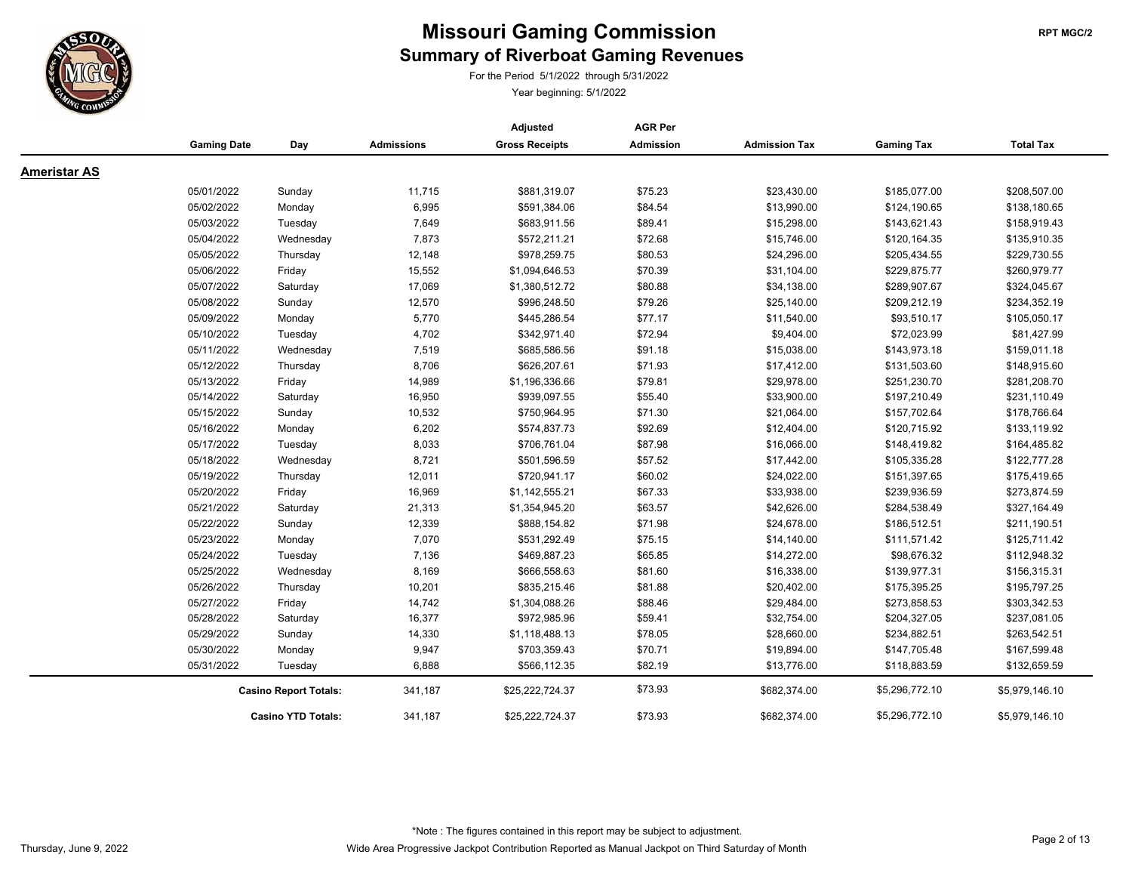

For the Period 5/1/2022 through 5/31/2022

|                     |                              |                           |                   | Adjusted              | <b>AGR Per</b>   |                      |                   |                  |
|---------------------|------------------------------|---------------------------|-------------------|-----------------------|------------------|----------------------|-------------------|------------------|
|                     | <b>Gaming Date</b>           | Day                       | <b>Admissions</b> | <b>Gross Receipts</b> | <b>Admission</b> | <b>Admission Tax</b> | <b>Gaming Tax</b> | <b>Total Tax</b> |
| <b>Ameristar AS</b> |                              |                           |                   |                       |                  |                      |                   |                  |
|                     | 05/01/2022                   | Sunday                    | 11,715            | \$881,319.07          | \$75.23          | \$23,430.00          | \$185,077.00      | \$208,507.00     |
|                     | 05/02/2022                   | Monday                    | 6,995             | \$591,384.06          | \$84.54          | \$13,990.00          | \$124,190.65      | \$138,180.65     |
|                     | 05/03/2022                   | Tuesday                   | 7,649             | \$683,911.56          | \$89.41          | \$15,298.00          | \$143,621.43      | \$158,919.43     |
|                     | 05/04/2022                   | Wednesday                 | 7,873             | \$572,211.21          | \$72.68          | \$15,746.00          | \$120,164.35      | \$135,910.35     |
|                     | 05/05/2022                   | Thursday                  | 12,148            | \$978,259.75          | \$80.53          | \$24,296.00          | \$205,434.55      | \$229,730.55     |
|                     | 05/06/2022                   | Friday                    | 15,552            | \$1,094,646.53        | \$70.39          | \$31,104.00          | \$229,875.77      | \$260,979.77     |
|                     | 05/07/2022                   | Saturday                  | 17,069            | \$1,380,512.72        | \$80.88          | \$34,138.00          | \$289,907.67      | \$324,045.67     |
|                     | 05/08/2022                   | Sunday                    | 12,570            | \$996,248.50          | \$79.26          | \$25,140.00          | \$209,212.19      | \$234,352.19     |
|                     | 05/09/2022                   | Monday                    | 5,770             | \$445,286.54          | \$77.17          | \$11,540.00          | \$93,510.17       | \$105,050.17     |
|                     | 05/10/2022                   | Tuesday                   | 4,702             | \$342,971.40          | \$72.94          | \$9,404.00           | \$72,023.99       | \$81,427.99      |
|                     | 05/11/2022                   | Wednesday                 | 7,519             | \$685,586.56          | \$91.18          | \$15,038.00          | \$143,973.18      | \$159,011.18     |
|                     | 05/12/2022                   | Thursday                  | 8,706             | \$626,207.61          | \$71.93          | \$17,412.00          | \$131,503.60      | \$148,915.60     |
|                     | 05/13/2022                   | Friday                    | 14,989            | \$1,196,336.66        | \$79.81          | \$29,978.00          | \$251,230.70      | \$281,208.70     |
|                     | 05/14/2022                   | Saturday                  | 16,950            | \$939,097.55          | \$55.40          | \$33,900.00          | \$197,210.49      | \$231,110.49     |
|                     | 05/15/2022                   | Sunday                    | 10,532            | \$750,964.95          | \$71.30          | \$21,064.00          | \$157,702.64      | \$178,766.64     |
|                     | 05/16/2022                   | Monday                    | 6,202             | \$574,837.73          | \$92.69          | \$12,404.00          | \$120,715.92      | \$133,119.92     |
|                     | 05/17/2022                   | Tuesday                   | 8,033             | \$706,761.04          | \$87.98          | \$16,066.00          | \$148,419.82      | \$164,485.82     |
|                     | 05/18/2022                   | Wednesday                 | 8,721             | \$501,596.59          | \$57.52          | \$17,442.00          | \$105,335.28      | \$122,777.28     |
|                     | 05/19/2022                   | Thursday                  | 12,011            | \$720,941.17          | \$60.02          | \$24,022.00          | \$151,397.65      | \$175,419.65     |
|                     | 05/20/2022                   | Friday                    | 16,969            | \$1,142,555.21        | \$67.33          | \$33,938.00          | \$239,936.59      | \$273,874.59     |
|                     | 05/21/2022                   | Saturday                  | 21,313            | \$1,354,945.20        | \$63.57          | \$42,626.00          | \$284,538.49      | \$327,164.49     |
|                     | 05/22/2022                   | Sunday                    | 12,339            | \$888,154.82          | \$71.98          | \$24,678.00          | \$186,512.51      | \$211,190.51     |
|                     | 05/23/2022                   | Monday                    | 7,070             | \$531,292.49          | \$75.15          | \$14,140.00          | \$111,571.42      | \$125,711.42     |
|                     | 05/24/2022                   | Tuesday                   | 7,136             | \$469,887.23          | \$65.85          | \$14,272.00          | \$98,676.32       | \$112,948.32     |
|                     | 05/25/2022                   | Wednesday                 | 8,169             | \$666,558.63          | \$81.60          | \$16,338.00          | \$139,977.31      | \$156,315.31     |
|                     | 05/26/2022                   | Thursday                  | 10,201            | \$835,215.46          | \$81.88          | \$20,402.00          | \$175,395.25      | \$195,797.25     |
|                     | 05/27/2022                   | Friday                    | 14,742            | \$1,304,088.26        | \$88.46          | \$29,484.00          | \$273,858.53      | \$303,342.53     |
|                     | 05/28/2022                   | Saturday                  | 16,377            | \$972,985.96          | \$59.41          | \$32,754.00          | \$204,327.05      | \$237,081.05     |
|                     | 05/29/2022                   | Sunday                    | 14,330            | \$1,118,488.13        | \$78.05          | \$28,660.00          | \$234,882.51      | \$263,542.51     |
|                     | 05/30/2022                   | Monday                    | 9,947             | \$703,359.43          | \$70.71          | \$19,894.00          | \$147,705.48      | \$167,599.48     |
|                     | 05/31/2022                   | Tuesday                   | 6,888             | \$566,112.35          | \$82.19          | \$13,776.00          | \$118,883.59      | \$132,659.59     |
|                     | <b>Casino Report Totals:</b> |                           | 341,187           | \$25,222,724.37       | \$73.93          | \$682,374.00         | \$5,296,772.10    | \$5,979,146.10   |
|                     |                              | <b>Casino YTD Totals:</b> | 341,187           | \$25,222,724.37       | \$73.93          | \$682,374.00         | \$5,296,772.10    | \$5,979,146.10   |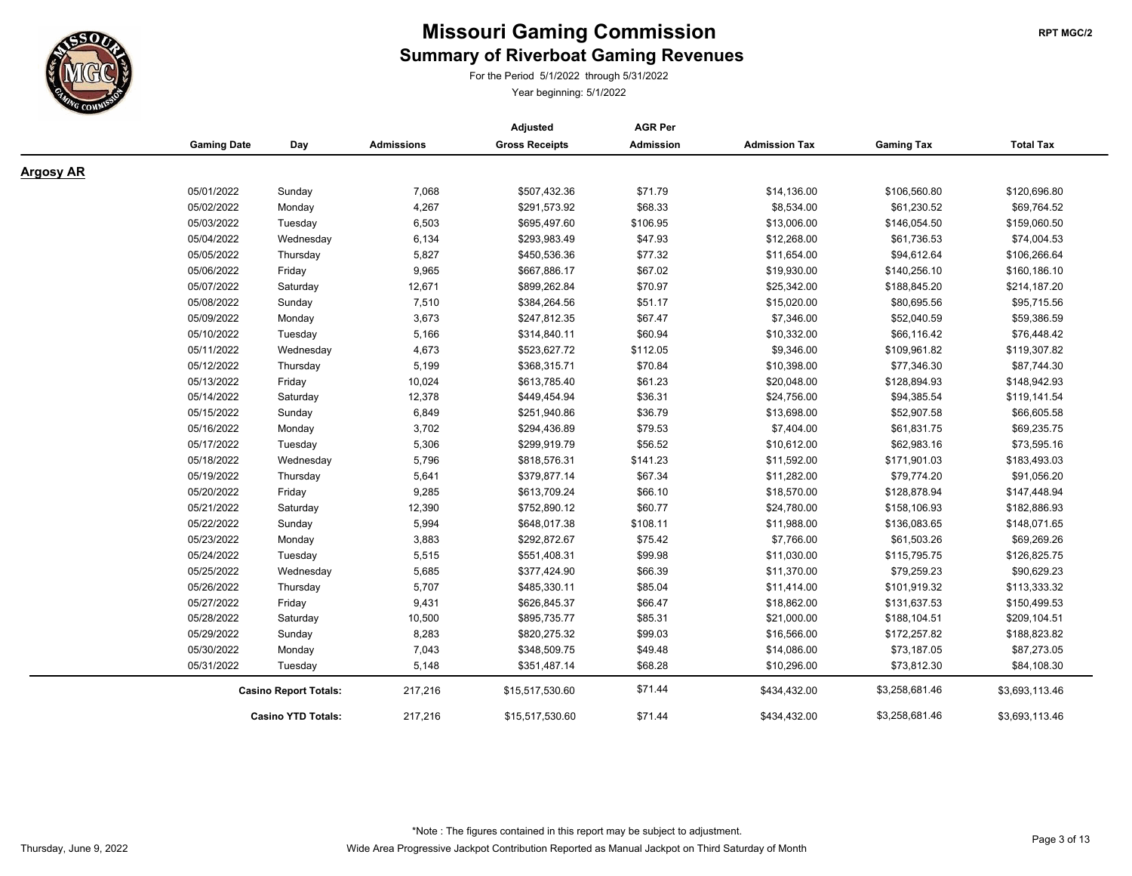

For the Period 5/1/2022 through 5/31/2022

|                  |                    |                              |                   | Adjusted              | <b>AGR Per</b>   |                      |                   |                  |
|------------------|--------------------|------------------------------|-------------------|-----------------------|------------------|----------------------|-------------------|------------------|
|                  | <b>Gaming Date</b> | Day                          | <b>Admissions</b> | <b>Gross Receipts</b> | <b>Admission</b> | <b>Admission Tax</b> | <b>Gaming Tax</b> | <b>Total Tax</b> |
| <b>Argosy AR</b> |                    |                              |                   |                       |                  |                      |                   |                  |
|                  | 05/01/2022         | Sunday                       | 7,068             | \$507,432.36          | \$71.79          | \$14,136.00          | \$106,560.80      | \$120,696.80     |
|                  | 05/02/2022         | Monday                       | 4,267             | \$291,573.92          | \$68.33          | \$8,534.00           | \$61,230.52       | \$69,764.52      |
|                  | 05/03/2022         | Tuesday                      | 6,503             | \$695,497.60          | \$106.95         | \$13,006.00          | \$146,054.50      | \$159,060.50     |
|                  | 05/04/2022         | Wednesday                    | 6,134             | \$293,983.49          | \$47.93          | \$12,268.00          | \$61,736.53       | \$74,004.53      |
|                  | 05/05/2022         | Thursday                     | 5,827             | \$450,536.36          | \$77.32          | \$11,654.00          | \$94,612.64       | \$106,266.64     |
|                  | 05/06/2022         | Friday                       | 9,965             | \$667,886.17          | \$67.02          | \$19,930.00          | \$140,256.10      | \$160,186.10     |
|                  | 05/07/2022         | Saturday                     | 12,671            | \$899,262.84          | \$70.97          | \$25,342.00          | \$188,845.20      | \$214,187.20     |
|                  | 05/08/2022         | Sunday                       | 7,510             | \$384,264.56          | \$51.17          | \$15,020.00          | \$80,695.56       | \$95,715.56      |
|                  | 05/09/2022         | Monday                       | 3,673             | \$247,812.35          | \$67.47          | \$7,346.00           | \$52,040.59       | \$59,386.59      |
|                  | 05/10/2022         | Tuesday                      | 5,166             | \$314,840.11          | \$60.94          | \$10,332.00          | \$66,116.42       | \$76,448.42      |
|                  | 05/11/2022         | Wednesday                    | 4,673             | \$523,627.72          | \$112.05         | \$9,346.00           | \$109,961.82      | \$119,307.82     |
|                  | 05/12/2022         | Thursday                     | 5,199             | \$368,315.71          | \$70.84          | \$10,398.00          | \$77,346.30       | \$87,744.30      |
|                  | 05/13/2022         | Friday                       | 10,024            | \$613,785.40          | \$61.23          | \$20,048.00          | \$128,894.93      | \$148,942.93     |
|                  | 05/14/2022         | Saturday                     | 12,378            | \$449,454.94          | \$36.31          | \$24,756.00          | \$94,385.54       | \$119,141.54     |
|                  | 05/15/2022         | Sunday                       | 6,849             | \$251,940.86          | \$36.79          | \$13,698.00          | \$52,907.58       | \$66,605.58      |
|                  | 05/16/2022         | Monday                       | 3,702             | \$294,436.89          | \$79.53          | \$7,404.00           | \$61,831.75       | \$69,235.75      |
|                  | 05/17/2022         | Tuesday                      | 5,306             | \$299,919.79          | \$56.52          | \$10,612.00          | \$62,983.16       | \$73,595.16      |
|                  | 05/18/2022         | Wednesday                    | 5,796             | \$818,576.31          | \$141.23         | \$11,592.00          | \$171,901.03      | \$183,493.03     |
|                  | 05/19/2022         | Thursday                     | 5,641             | \$379,877.14          | \$67.34          | \$11,282.00          | \$79,774.20       | \$91,056.20      |
|                  | 05/20/2022         | Friday                       | 9,285             | \$613,709.24          | \$66.10          | \$18,570.00          | \$128,878.94      | \$147,448.94     |
|                  | 05/21/2022         | Saturday                     | 12,390            | \$752,890.12          | \$60.77          | \$24,780.00          | \$158,106.93      | \$182,886.93     |
|                  | 05/22/2022         | Sunday                       | 5,994             | \$648,017.38          | \$108.11         | \$11,988.00          | \$136,083.65      | \$148,071.65     |
|                  | 05/23/2022         | Monday                       | 3,883             | \$292,872.67          | \$75.42          | \$7,766.00           | \$61,503.26       | \$69,269.26      |
|                  | 05/24/2022         | Tuesday                      | 5,515             | \$551,408.31          | \$99.98          | \$11,030.00          | \$115,795.75      | \$126,825.75     |
|                  | 05/25/2022         | Wednesday                    | 5,685             | \$377,424.90          | \$66.39          | \$11,370.00          | \$79,259.23       | \$90,629.23      |
|                  | 05/26/2022         | Thursday                     | 5,707             | \$485,330.11          | \$85.04          | \$11,414.00          | \$101,919.32      | \$113,333.32     |
|                  | 05/27/2022         | Friday                       | 9,431             | \$626,845.37          | \$66.47          | \$18,862.00          | \$131,637.53      | \$150,499.53     |
|                  | 05/28/2022         | Saturday                     | 10,500            | \$895,735.77          | \$85.31          | \$21,000.00          | \$188,104.51      | \$209,104.51     |
|                  | 05/29/2022         | Sunday                       | 8,283             | \$820,275.32          | \$99.03          | \$16,566.00          | \$172,257.82      | \$188,823.82     |
|                  | 05/30/2022         | Monday                       | 7,043             | \$348,509.75          | \$49.48          | \$14,086.00          | \$73,187.05       | \$87,273.05      |
|                  | 05/31/2022         | Tuesday                      | 5,148             | \$351,487.14          | \$68.28          | \$10,296.00          | \$73,812.30       | \$84,108.30      |
|                  |                    | <b>Casino Report Totals:</b> |                   | \$15,517,530.60       | \$71.44          | \$434,432.00         | \$3,258,681.46    | \$3,693,113.46   |
|                  |                    | <b>Casino YTD Totals:</b>    | 217,216           | \$15,517,530.60       | \$71.44          | \$434,432.00         | \$3,258,681.46    | \$3,693,113.46   |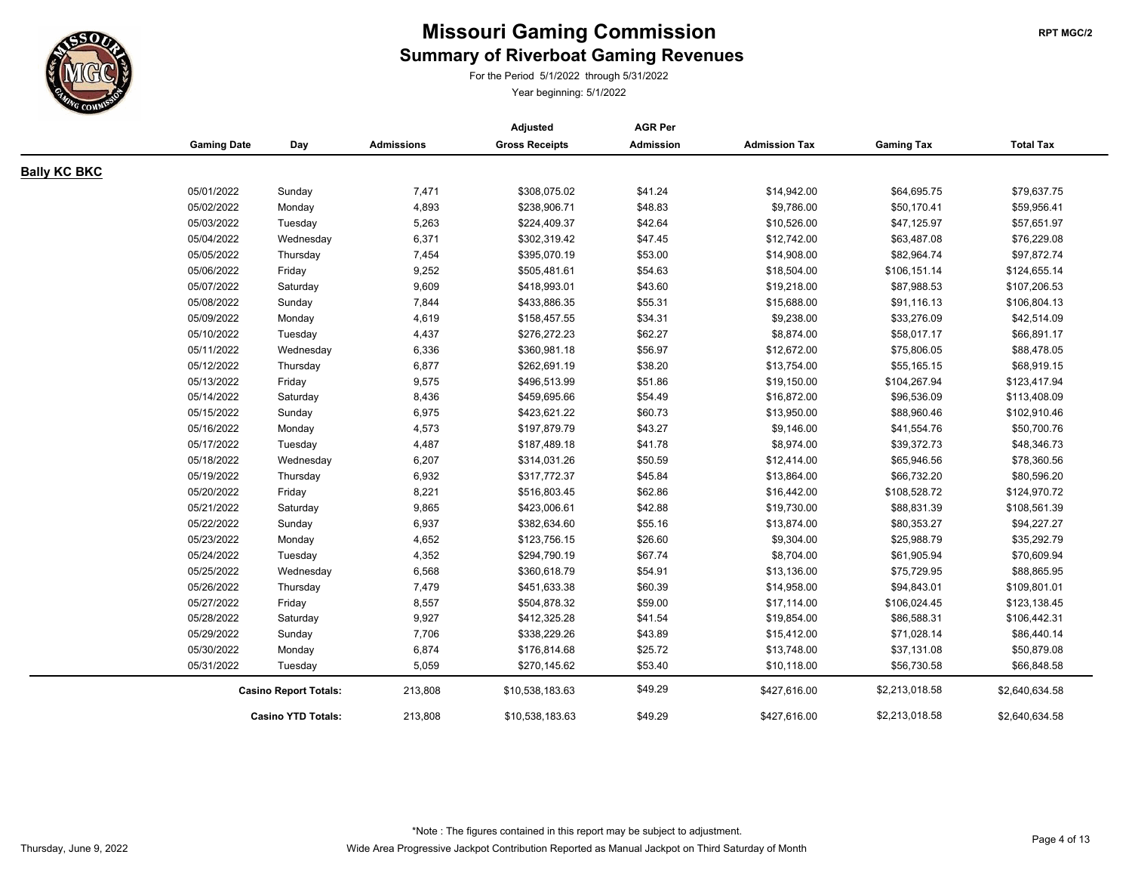

For the Period 5/1/2022 through 5/31/2022

|                     |                    |                              |                   | Adjusted              | <b>AGR Per</b>   |                      |                   |                  |
|---------------------|--------------------|------------------------------|-------------------|-----------------------|------------------|----------------------|-------------------|------------------|
|                     | <b>Gaming Date</b> | Day                          | <b>Admissions</b> | <b>Gross Receipts</b> | <b>Admission</b> | <b>Admission Tax</b> | <b>Gaming Tax</b> | <b>Total Tax</b> |
| <b>Bally KC BKC</b> |                    |                              |                   |                       |                  |                      |                   |                  |
|                     | 05/01/2022         | Sunday                       | 7,471             | \$308,075.02          | \$41.24          | \$14,942.00          | \$64,695.75       | \$79,637.75      |
|                     | 05/02/2022         | Monday                       | 4,893             | \$238,906.71          | \$48.83          | \$9,786.00           | \$50,170.41       | \$59,956.41      |
|                     | 05/03/2022         | Tuesday                      | 5,263             | \$224,409.37          | \$42.64          | \$10,526.00          | \$47,125.97       | \$57,651.97      |
|                     | 05/04/2022         | Wednesday                    | 6,371             | \$302,319.42          | \$47.45          | \$12,742.00          | \$63,487.08       | \$76,229.08      |
|                     | 05/05/2022         | Thursday                     | 7,454             | \$395,070.19          | \$53.00          | \$14,908.00          | \$82,964.74       | \$97,872.74      |
|                     | 05/06/2022         | Friday                       | 9,252             | \$505,481.61          | \$54.63          | \$18,504.00          | \$106,151.14      | \$124,655.14     |
|                     | 05/07/2022         | Saturday                     | 9,609             | \$418,993.01          | \$43.60          | \$19,218.00          | \$87,988.53       | \$107,206.53     |
|                     | 05/08/2022         | Sunday                       | 7,844             | \$433,886.35          | \$55.31          | \$15,688.00          | \$91,116.13       | \$106,804.13     |
|                     | 05/09/2022         | Monday                       | 4,619             | \$158,457.55          | \$34.31          | \$9,238.00           | \$33,276.09       | \$42,514.09      |
|                     | 05/10/2022         | Tuesday                      | 4,437             | \$276,272.23          | \$62.27          | \$8,874.00           | \$58,017.17       | \$66,891.17      |
|                     | 05/11/2022         | Wednesday                    | 6,336             | \$360,981.18          | \$56.97          | \$12,672.00          | \$75,806.05       | \$88,478.05      |
|                     | 05/12/2022         | Thursday                     | 6,877             | \$262,691.19          | \$38.20          | \$13,754.00          | \$55,165.15       | \$68,919.15      |
|                     | 05/13/2022         | Friday                       | 9,575             | \$496,513.99          | \$51.86          | \$19,150.00          | \$104,267.94      | \$123,417.94     |
|                     | 05/14/2022         | Saturday                     | 8,436             | \$459,695.66          | \$54.49          | \$16,872.00          | \$96,536.09       | \$113,408.09     |
|                     | 05/15/2022         | Sunday                       | 6,975             | \$423,621.22          | \$60.73          | \$13,950.00          | \$88,960.46       | \$102,910.46     |
|                     | 05/16/2022         | Monday                       | 4,573             | \$197,879.79          | \$43.27          | \$9,146.00           | \$41,554.76       | \$50,700.76      |
|                     | 05/17/2022         | Tuesday                      | 4,487             | \$187,489.18          | \$41.78          | \$8,974.00           | \$39,372.73       | \$48,346.73      |
|                     | 05/18/2022         | Wednesday                    | 6,207             | \$314,031.26          | \$50.59          | \$12,414.00          | \$65,946.56       | \$78,360.56      |
|                     | 05/19/2022         | Thursday                     | 6,932             | \$317,772.37          | \$45.84          | \$13,864.00          | \$66,732.20       | \$80,596.20      |
|                     | 05/20/2022         | Friday                       | 8,221             | \$516,803.45          | \$62.86          | \$16,442.00          | \$108,528.72      | \$124,970.72     |
|                     | 05/21/2022         | Saturday                     | 9,865             | \$423,006.61          | \$42.88          | \$19,730.00          | \$88,831.39       | \$108,561.39     |
|                     | 05/22/2022         | Sunday                       | 6,937             | \$382,634.60          | \$55.16          | \$13,874.00          | \$80,353.27       | \$94,227.27      |
|                     | 05/23/2022         | Monday                       | 4,652             | \$123,756.15          | \$26.60          | \$9,304.00           | \$25,988.79       | \$35,292.79      |
|                     | 05/24/2022         | Tuesday                      | 4,352             | \$294,790.19          | \$67.74          | \$8,704.00           | \$61,905.94       | \$70,609.94      |
|                     | 05/25/2022         | Wednesday                    | 6,568             | \$360,618.79          | \$54.91          | \$13,136.00          | \$75,729.95       | \$88,865.95      |
|                     | 05/26/2022         | Thursday                     | 7,479             | \$451,633.38          | \$60.39          | \$14,958.00          | \$94,843.01       | \$109,801.01     |
|                     | 05/27/2022         | Friday                       | 8,557             | \$504,878.32          | \$59.00          | \$17,114.00          | \$106,024.45      | \$123,138.45     |
|                     | 05/28/2022         | Saturday                     | 9,927             | \$412,325.28          | \$41.54          | \$19,854.00          | \$86,588.31       | \$106,442.31     |
|                     | 05/29/2022         | Sunday                       | 7,706             | \$338,229.26          | \$43.89          | \$15,412.00          | \$71,028.14       | \$86,440.14      |
|                     | 05/30/2022         | Monday                       | 6,874             | \$176,814.68          | \$25.72          | \$13,748.00          | \$37,131.08       | \$50,879.08      |
|                     | 05/31/2022         | Tuesday                      | 5,059             | \$270,145.62          | \$53.40          | \$10,118.00          | \$56,730.58       | \$66,848.58      |
|                     |                    | <b>Casino Report Totals:</b> |                   | \$10,538,183.63       | \$49.29          | \$427,616.00         | \$2,213,018.58    | \$2,640,634.58   |
|                     |                    | <b>Casino YTD Totals:</b>    | 213,808           | \$10,538,183.63       | \$49.29          | \$427,616.00         | \$2,213,018.58    | \$2,640,634.58   |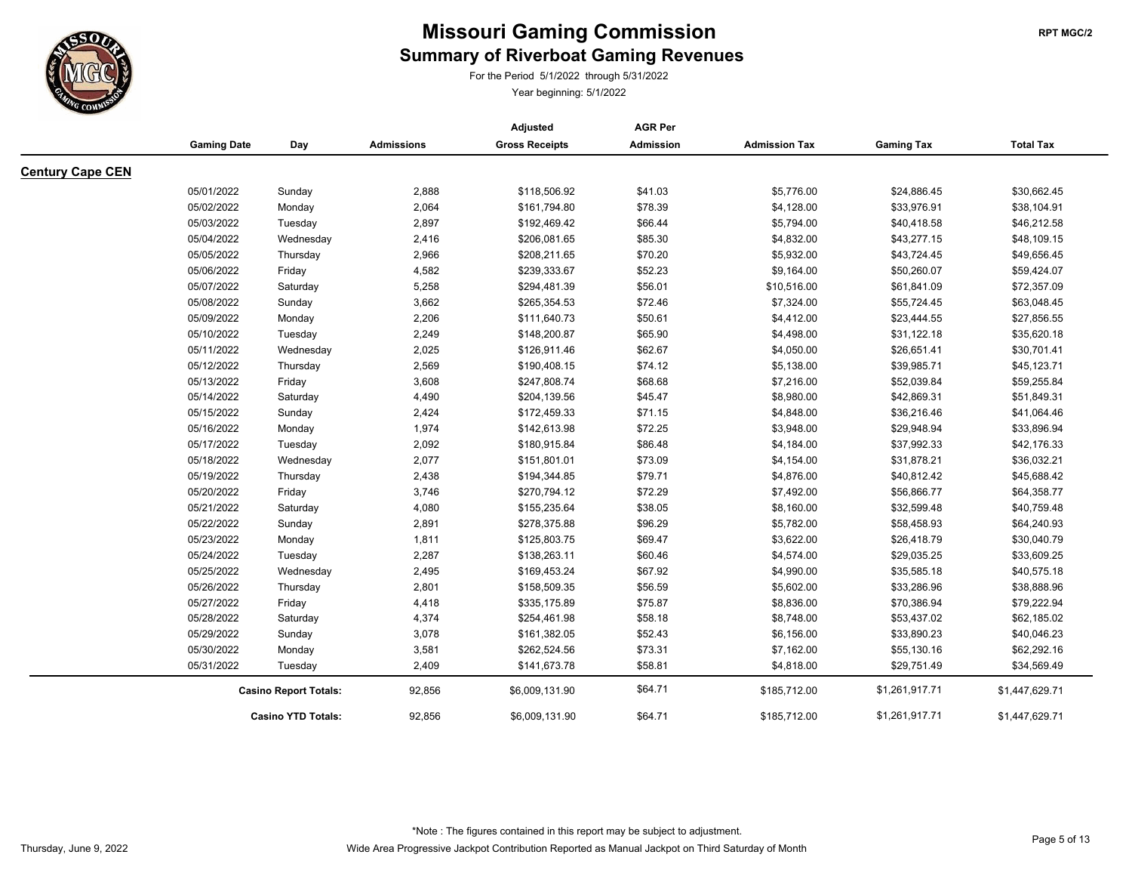

For the Period 5/1/2022 through 5/31/2022

|                         |                    | <b>AGR Per</b><br>Adjusted   |                   |                       |                  |                      |                   |                  |
|-------------------------|--------------------|------------------------------|-------------------|-----------------------|------------------|----------------------|-------------------|------------------|
|                         | <b>Gaming Date</b> | Day                          | <b>Admissions</b> | <b>Gross Receipts</b> | <b>Admission</b> | <b>Admission Tax</b> | <b>Gaming Tax</b> | <b>Total Tax</b> |
| <b>Century Cape CEN</b> |                    |                              |                   |                       |                  |                      |                   |                  |
|                         | 05/01/2022         | Sunday                       | 2,888             | \$118,506.92          | \$41.03          | \$5,776.00           | \$24,886.45       | \$30,662.45      |
|                         | 05/02/2022         | Monday                       | 2,064             | \$161,794.80          | \$78.39          | \$4,128.00           | \$33,976.91       | \$38,104.91      |
|                         | 05/03/2022         | Tuesday                      | 2,897             | \$192,469.42          | \$66.44          | \$5,794.00           | \$40,418.58       | \$46,212.58      |
|                         | 05/04/2022         | Wednesday                    | 2,416             | \$206,081.65          | \$85.30          | \$4,832.00           | \$43,277.15       | \$48,109.15      |
|                         | 05/05/2022         | Thursday                     | 2,966             | \$208,211.65          | \$70.20          | \$5,932.00           | \$43,724.45       | \$49,656.45      |
|                         | 05/06/2022         | Friday                       | 4,582             | \$239,333.67          | \$52.23          | \$9,164.00           | \$50,260.07       | \$59,424.07      |
|                         | 05/07/2022         | Saturday                     | 5,258             | \$294,481.39          | \$56.01          | \$10,516.00          | \$61,841.09       | \$72,357.09      |
|                         | 05/08/2022         | Sunday                       | 3,662             | \$265,354.53          | \$72.46          | \$7,324.00           | \$55,724.45       | \$63,048.45      |
|                         | 05/09/2022         | Monday                       | 2,206             | \$111,640.73          | \$50.61          | \$4,412.00           | \$23,444.55       | \$27,856.55      |
|                         | 05/10/2022         | Tuesday                      | 2,249             | \$148,200.87          | \$65.90          | \$4,498.00           | \$31,122.18       | \$35,620.18      |
|                         | 05/11/2022         | Wednesday                    | 2,025             | \$126,911.46          | \$62.67          | \$4,050.00           | \$26,651.41       | \$30,701.41      |
|                         | 05/12/2022         | Thursday                     | 2,569             | \$190,408.15          | \$74.12          | \$5,138.00           | \$39,985.71       | \$45,123.71      |
|                         | 05/13/2022         | Friday                       | 3,608             | \$247,808.74          | \$68.68          | \$7,216.00           | \$52,039.84       | \$59,255.84      |
|                         | 05/14/2022         | Saturday                     | 4,490             | \$204,139.56          | \$45.47          | \$8,980.00           | \$42,869.31       | \$51,849.31      |
|                         | 05/15/2022         | Sunday                       | 2,424             | \$172,459.33          | \$71.15          | \$4,848.00           | \$36,216.46       | \$41,064.46      |
|                         | 05/16/2022         | Monday                       | 1,974             | \$142,613.98          | \$72.25          | \$3,948.00           | \$29,948.94       | \$33,896.94      |
|                         | 05/17/2022         | Tuesday                      | 2,092             | \$180,915.84          | \$86.48          | \$4,184.00           | \$37,992.33       | \$42,176.33      |
|                         | 05/18/2022         | Wednesday                    | 2,077             | \$151,801.01          | \$73.09          | \$4,154.00           | \$31,878.21       | \$36,032.21      |
|                         | 05/19/2022         | Thursday                     | 2,438             | \$194,344.85          | \$79.71          | \$4,876.00           | \$40,812.42       | \$45,688.42      |
|                         | 05/20/2022         | Friday                       | 3,746             | \$270,794.12          | \$72.29          | \$7,492.00           | \$56,866.77       | \$64,358.77      |
|                         | 05/21/2022         | Saturday                     | 4,080             | \$155,235.64          | \$38.05          | \$8,160.00           | \$32,599.48       | \$40,759.48      |
|                         | 05/22/2022         | Sunday                       | 2,891             | \$278,375.88          | \$96.29          | \$5,782.00           | \$58,458.93       | \$64,240.93      |
|                         | 05/23/2022         | Monday                       | 1,811             | \$125,803.75          | \$69.47          | \$3,622.00           | \$26,418.79       | \$30,040.79      |
|                         | 05/24/2022         | Tuesday                      | 2,287             | \$138,263.11          | \$60.46          | \$4,574.00           | \$29,035.25       | \$33,609.25      |
|                         | 05/25/2022         | Wednesday                    | 2,495             | \$169,453.24          | \$67.92          | \$4,990.00           | \$35,585.18       | \$40,575.18      |
|                         | 05/26/2022         | Thursday                     | 2,801             | \$158,509.35          | \$56.59          | \$5,602.00           | \$33,286.96       | \$38,888.96      |
|                         | 05/27/2022         | Friday                       | 4,418             | \$335,175.89          | \$75.87          | \$8,836.00           | \$70,386.94       | \$79,222.94      |
|                         | 05/28/2022         | Saturday                     | 4,374             | \$254,461.98          | \$58.18          | \$8,748.00           | \$53,437.02       | \$62,185.02      |
|                         | 05/29/2022         | Sunday                       | 3,078             | \$161,382.05          | \$52.43          | \$6,156.00           | \$33,890.23       | \$40,046.23      |
|                         | 05/30/2022         | Monday                       | 3,581             | \$262,524.56          | \$73.31          | \$7,162.00           | \$55,130.16       | \$62,292.16      |
|                         | 05/31/2022         | Tuesday                      | 2,409             | \$141,673.78          | \$58.81          | \$4,818.00           | \$29,751.49       | \$34,569.49      |
|                         |                    | <b>Casino Report Totals:</b> | 92,856            | \$6,009,131.90        | \$64.71          | \$185,712.00         | \$1,261,917.71    | \$1,447,629.71   |
|                         |                    | <b>Casino YTD Totals:</b>    | 92,856            | \$6,009,131.90        | \$64.71          | \$185,712.00         | \$1,261,917.71    | \$1,447,629.71   |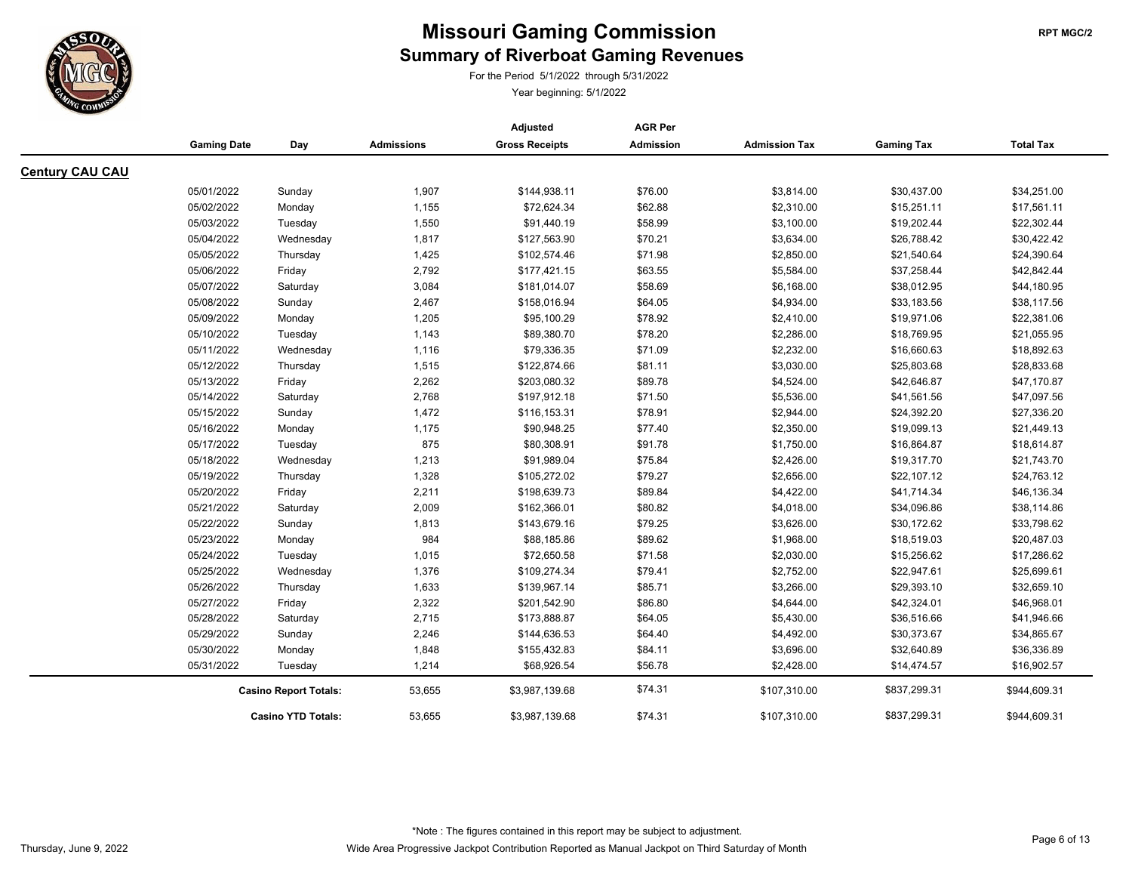

For the Period 5/1/2022 through 5/31/2022

|                        |                              |                           |                   | Adjusted              | <b>AGR Per</b>     |                      |                   |                            |
|------------------------|------------------------------|---------------------------|-------------------|-----------------------|--------------------|----------------------|-------------------|----------------------------|
|                        | <b>Gaming Date</b>           | Day                       | <b>Admissions</b> | <b>Gross Receipts</b> | <b>Admission</b>   | <b>Admission Tax</b> | <b>Gaming Tax</b> | <b>Total Tax</b>           |
| <b>Century CAU CAU</b> |                              |                           |                   |                       |                    |                      |                   |                            |
|                        | 05/01/2022                   | Sunday                    | 1,907             | \$144,938.11          | \$76.00            | \$3,814.00           | \$30,437.00       | \$34,251.00                |
|                        | 05/02/2022                   | Monday                    | 1,155             | \$72,624.34           | \$62.88            | \$2,310.00           | \$15,251.11       | \$17,561.11                |
|                        | 05/03/2022                   | Tuesday                   | 1,550             | \$91,440.19           | \$58.99            | \$3,100.00           | \$19,202.44       | \$22,302.44                |
|                        | 05/04/2022                   |                           | 1,817             | \$127,563.90          | \$70.21            | \$3,634.00           | \$26,788.42       | \$30,422.42                |
|                        | 05/05/2022                   | Wednesday<br>Thursday     | 1,425             | \$102,574.46          | \$71.98            | \$2,850.00           | \$21,540.64       | \$24,390.64                |
|                        | 05/06/2022                   |                           | 2,792             |                       |                    | \$5,584.00           | \$37,258.44       |                            |
|                        | 05/07/2022                   | Friday                    | 3,084             | \$177,421.15          | \$63.55<br>\$58.69 | \$6,168.00           | \$38,012.95       | \$42,842.44<br>\$44,180.95 |
|                        |                              | Saturday                  |                   | \$181,014.07          |                    |                      |                   |                            |
|                        | 05/08/2022                   | Sunday                    | 2,467             | \$158,016.94          | \$64.05            | \$4,934.00           | \$33,183.56       | \$38,117.56                |
|                        | 05/09/2022                   | Monday                    | 1,205             | \$95,100.29           | \$78.92            | \$2,410.00           | \$19,971.06       | \$22,381.06                |
|                        | 05/10/2022                   | Tuesday                   | 1,143             | \$89,380.70           | \$78.20            | \$2,286.00           | \$18,769.95       | \$21,055.95                |
|                        | 05/11/2022                   | Wednesday                 | 1,116             | \$79,336.35           | \$71.09            | \$2,232.00           | \$16,660.63       | \$18,892.63                |
|                        | 05/12/2022                   | Thursday                  | 1,515             | \$122,874.66          | \$81.11            | \$3,030.00           | \$25,803.68       | \$28,833.68                |
|                        | 05/13/2022                   | Friday                    | 2,262             | \$203,080.32          | \$89.78            | \$4,524.00           | \$42,646.87       | \$47,170.87                |
|                        | 05/14/2022                   | Saturday                  | 2,768             | \$197,912.18          | \$71.50            | \$5,536.00           | \$41,561.56       | \$47,097.56                |
|                        | 05/15/2022                   | Sunday                    | 1,472             | \$116,153.31          | \$78.91            | \$2,944.00           | \$24,392.20       | \$27,336.20                |
|                        | 05/16/2022                   | Monday                    | 1,175             | \$90,948.25           | \$77.40            | \$2,350.00           | \$19,099.13       | \$21,449.13                |
|                        | 05/17/2022                   | Tuesday                   | 875               | \$80,308.91           | \$91.78            | \$1,750.00           | \$16,864.87       | \$18,614.87                |
|                        | 05/18/2022                   | Wednesday                 | 1,213             | \$91,989.04           | \$75.84            | \$2,426.00           | \$19,317.70       | \$21,743.70                |
|                        | 05/19/2022                   | Thursday                  | 1,328             | \$105,272.02          | \$79.27            | \$2,656.00           | \$22,107.12       | \$24,763.12                |
|                        | 05/20/2022                   | Friday                    | 2,211             | \$198,639.73          | \$89.84            | \$4,422.00           | \$41,714.34       | \$46,136.34                |
|                        | 05/21/2022                   | Saturday                  | 2,009             | \$162,366.01          | \$80.82            | \$4,018.00           | \$34,096.86       | \$38,114.86                |
|                        | 05/22/2022                   | Sunday                    | 1,813             | \$143,679.16          | \$79.25            | \$3,626.00           | \$30,172.62       | \$33,798.62                |
|                        | 05/23/2022                   | Monday                    | 984               | \$88,185.86           | \$89.62            | \$1,968.00           | \$18,519.03       | \$20,487.03                |
|                        | 05/24/2022                   | Tuesday                   | 1,015             | \$72,650.58           | \$71.58            | \$2,030.00           | \$15,256.62       | \$17,286.62                |
|                        | 05/25/2022                   | Wednesday                 | 1,376             | \$109,274.34          | \$79.41            | \$2,752.00           | \$22,947.61       | \$25,699.61                |
|                        | 05/26/2022                   | Thursday                  | 1,633             | \$139,967.14          | \$85.71            | \$3,266.00           | \$29,393.10       | \$32,659.10                |
|                        | 05/27/2022                   | Friday                    | 2,322             | \$201,542.90          | \$86.80            | \$4,644.00           | \$42,324.01       | \$46,968.01                |
|                        | 05/28/2022                   | Saturday                  | 2,715             | \$173,888.87          | \$64.05            | \$5,430.00           | \$36,516.66       | \$41,946.66                |
|                        | 05/29/2022                   | Sunday                    | 2,246             | \$144,636.53          | \$64.40            | \$4,492.00           | \$30,373.67       | \$34,865.67                |
|                        | 05/30/2022                   | Monday                    | 1,848             | \$155,432.83          | \$84.11            | \$3,696.00           | \$32,640.89       | \$36,336.89                |
|                        | 05/31/2022                   | Tuesday                   | 1,214             | \$68,926.54           | \$56.78            | \$2,428.00           | \$14,474.57       | \$16,902.57                |
|                        | <b>Casino Report Totals:</b> |                           | 53,655            | \$3,987,139.68        | \$74.31            | \$107,310.00         | \$837,299.31      | \$944,609.31               |
|                        |                              | <b>Casino YTD Totals:</b> | 53,655            | \$3,987,139.68        | \$74.31            | \$107,310.00         | \$837,299.31      | \$944,609.31               |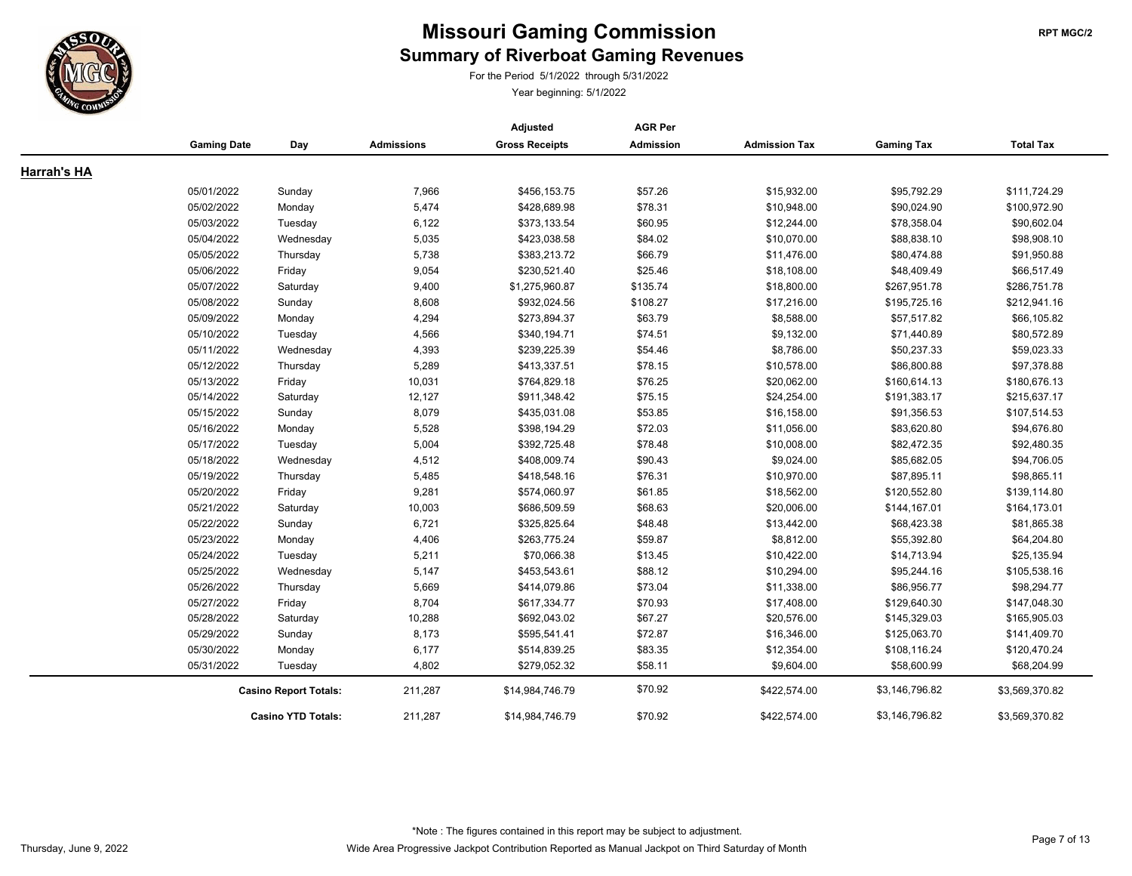

# **Summary of Riverboat Gaming Revenues Missouri Gaming Commission RET MGC/2 RPT MGC/2**

For the Period 5/1/2022 through 5/31/2022

|                    |                    |                              |                   | Adjusted              | <b>AGR Per</b> |                      |                   |                  |
|--------------------|--------------------|------------------------------|-------------------|-----------------------|----------------|----------------------|-------------------|------------------|
|                    | <b>Gaming Date</b> | Day                          | <b>Admissions</b> | <b>Gross Receipts</b> | Admission      | <b>Admission Tax</b> | <b>Gaming Tax</b> | <b>Total Tax</b> |
| <b>Harrah's HA</b> |                    |                              |                   |                       |                |                      |                   |                  |
|                    | 05/01/2022         | Sunday                       | 7,966             | \$456,153.75          | \$57.26        | \$15,932.00          | \$95,792.29       | \$111,724.29     |
|                    | 05/02/2022         | Monday                       | 5,474             | \$428,689.98          | \$78.31        | \$10,948.00          | \$90,024.90       | \$100,972.90     |
|                    | 05/03/2022         | Tuesday                      | 6,122             | \$373,133.54          | \$60.95        | \$12,244.00          | \$78,358.04       | \$90,602.04      |
|                    | 05/04/2022         | Wednesday                    | 5,035             | \$423,038.58          | \$84.02        | \$10,070.00          | \$88,838.10       | \$98,908.10      |
|                    | 05/05/2022         | Thursday                     | 5,738             | \$383,213.72          | \$66.79        | \$11,476.00          | \$80,474.88       | \$91,950.88      |
|                    | 05/06/2022         | Friday                       | 9,054             | \$230,521.40          | \$25.46        | \$18,108.00          | \$48,409.49       | \$66,517.49      |
|                    | 05/07/2022         | Saturday                     | 9,400             | \$1,275,960.87        | \$135.74       | \$18,800.00          | \$267,951.78      | \$286,751.78     |
|                    | 05/08/2022         | Sunday                       | 8,608             | \$932,024.56          | \$108.27       | \$17,216.00          | \$195,725.16      | \$212,941.16     |
|                    | 05/09/2022         | Monday                       | 4,294             | \$273,894.37          | \$63.79        | \$8,588.00           | \$57,517.82       | \$66,105.82      |
|                    | 05/10/2022         | Tuesday                      | 4,566             | \$340,194.71          | \$74.51        | \$9,132.00           | \$71,440.89       | \$80,572.89      |
|                    | 05/11/2022         | Wednesday                    | 4,393             | \$239,225.39          | \$54.46        | \$8,786.00           | \$50,237.33       | \$59,023.33      |
|                    | 05/12/2022         | Thursday                     | 5,289             | \$413,337.51          | \$78.15        | \$10,578.00          | \$86,800.88       | \$97,378.88      |
|                    | 05/13/2022         | Friday                       | 10,031            | \$764,829.18          | \$76.25        | \$20,062.00          | \$160,614.13      | \$180,676.13     |
|                    | 05/14/2022         | Saturday                     | 12,127            | \$911,348.42          | \$75.15        | \$24,254.00          | \$191,383.17      | \$215,637.17     |
|                    | 05/15/2022         | Sunday                       | 8,079             | \$435,031.08          | \$53.85        | \$16,158.00          | \$91,356.53       | \$107,514.53     |
|                    | 05/16/2022         | Monday                       | 5,528             | \$398,194.29          | \$72.03        | \$11,056.00          | \$83,620.80       | \$94,676.80      |
|                    | 05/17/2022         | Tuesday                      | 5,004             | \$392,725.48          | \$78.48        | \$10,008.00          | \$82,472.35       | \$92,480.35      |
|                    | 05/18/2022         | Wednesday                    | 4,512             | \$408,009.74          | \$90.43        | \$9,024.00           | \$85,682.05       | \$94,706.05      |
|                    | 05/19/2022         | Thursday                     | 5,485             | \$418,548.16          | \$76.31        | \$10,970.00          | \$87,895.11       | \$98,865.11      |
|                    | 05/20/2022         | Friday                       | 9,281             | \$574,060.97          | \$61.85        | \$18,562.00          | \$120,552.80      | \$139,114.80     |
|                    | 05/21/2022         | Saturday                     | 10,003            | \$686,509.59          | \$68.63        | \$20,006.00          | \$144,167.01      | \$164,173.01     |
|                    | 05/22/2022         | Sunday                       | 6,721             | \$325,825.64          | \$48.48        | \$13,442.00          | \$68,423.38       | \$81,865.38      |
|                    | 05/23/2022         | Monday                       | 4,406             | \$263,775.24          | \$59.87        | \$8,812.00           | \$55,392.80       | \$64,204.80      |
|                    | 05/24/2022         | Tuesday                      | 5,211             | \$70,066.38           | \$13.45        | \$10,422.00          | \$14,713.94       | \$25,135.94      |
|                    | 05/25/2022         | Wednesday                    | 5,147             | \$453,543.61          | \$88.12        | \$10,294.00          | \$95,244.16       | \$105,538.16     |
|                    | 05/26/2022         | Thursday                     | 5,669             | \$414,079.86          | \$73.04        | \$11,338.00          | \$86,956.77       | \$98,294.77      |
|                    | 05/27/2022         | Friday                       | 8,704             | \$617,334.77          | \$70.93        | \$17,408.00          | \$129,640.30      | \$147,048.30     |
|                    | 05/28/2022         | Saturday                     | 10,288            | \$692,043.02          | \$67.27        | \$20,576.00          | \$145,329.03      | \$165,905.03     |
|                    | 05/29/2022         | Sunday                       | 8,173             | \$595,541.41          | \$72.87        | \$16,346.00          | \$125,063.70      | \$141,409.70     |
|                    | 05/30/2022         | Monday                       | 6,177             | \$514,839.25          | \$83.35        | \$12,354.00          | \$108,116.24      | \$120,470.24     |
|                    | 05/31/2022         | Tuesday                      | 4,802             | \$279,052.32          | \$58.11        | \$9,604.00           | \$58,600.99       | \$68,204.99      |
|                    |                    | <b>Casino Report Totals:</b> |                   | \$14,984,746.79       | \$70.92        | \$422,574.00         | \$3,146,796.82    | \$3,569,370.82   |
|                    |                    | <b>Casino YTD Totals:</b>    | 211,287           | \$14,984,746.79       | \$70.92        | \$422,574.00         | \$3,146,796.82    | \$3,569,370.82   |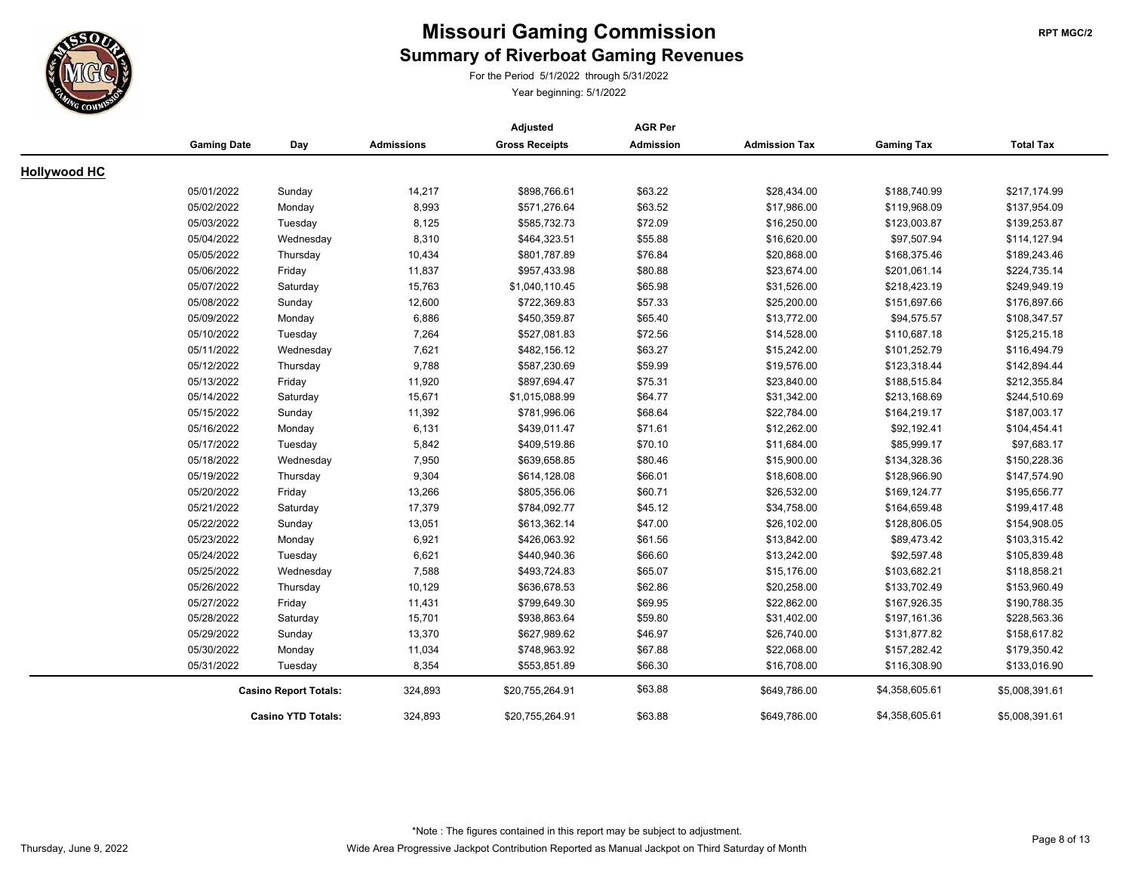

For the Period 5/1/2022 through 5/31/2022

|                     |                    |                              |                   | Adjusted              | <b>AGR Per</b>   |                      |                   |                  |
|---------------------|--------------------|------------------------------|-------------------|-----------------------|------------------|----------------------|-------------------|------------------|
|                     | <b>Gaming Date</b> | Day                          | <b>Admissions</b> | <b>Gross Receipts</b> | <b>Admission</b> | <b>Admission Tax</b> | <b>Gaming Tax</b> | <b>Total Tax</b> |
| <b>Hollywood HC</b> |                    |                              |                   |                       |                  |                      |                   |                  |
|                     | 05/01/2022         | Sunday                       | 14,217            | \$898,766.61          | \$63.22          | \$28,434.00          | \$188,740.99      | \$217,174.99     |
|                     | 05/02/2022         |                              | 8,993             | \$571,276.64          | \$63.52          | \$17,986.00          | \$119,968.09      | \$137,954.09     |
|                     | 05/03/2022         | Monday<br>Tuesday            | 8,125             | \$585,732.73          | \$72.09          | \$16,250.00          | \$123,003.87      | \$139,253.87     |
|                     | 05/04/2022         |                              | 8,310             | \$464,323.51          | \$55.88          | \$16,620.00          | \$97,507.94       | \$114,127.94     |
|                     | 05/05/2022         | Wednesday                    | 10,434            | \$801,787.89          | \$76.84          | \$20,868.00          | \$168,375.46      | \$189,243.46     |
|                     | 05/06/2022         | Thursday                     |                   | \$957,433.98          | \$80.88          | \$23,674.00          | \$201,061.14      | \$224,735.14     |
|                     |                    | Friday                       | 11,837            |                       |                  |                      |                   |                  |
|                     | 05/07/2022         | Saturday                     | 15,763            | \$1,040,110.45        | \$65.98          | \$31,526.00          | \$218,423.19      | \$249,949.19     |
|                     | 05/08/2022         | Sunday                       | 12,600            | \$722,369.83          | \$57.33          | \$25,200.00          | \$151,697.66      | \$176,897.66     |
|                     | 05/09/2022         | Monday                       | 6,886             | \$450,359.87          | \$65.40          | \$13,772.00          | \$94,575.57       | \$108,347.57     |
|                     | 05/10/2022         | Tuesday                      | 7,264             | \$527,081.83          | \$72.56          | \$14,528.00          | \$110,687.18      | \$125,215.18     |
|                     | 05/11/2022         | Wednesday                    | 7,621             | \$482,156.12          | \$63.27          | \$15,242.00          | \$101,252.79      | \$116,494.79     |
|                     | 05/12/2022         | Thursday                     | 9,788             | \$587,230.69          | \$59.99          | \$19,576.00          | \$123,318.44      | \$142,894.44     |
|                     | 05/13/2022         | Friday                       | 11,920            | \$897,694.47          | \$75.31          | \$23,840.00          | \$188,515.84      | \$212,355.84     |
|                     | 05/14/2022         | Saturday                     | 15,671            | \$1,015,088.99        | \$64.77          | \$31,342.00          | \$213,168.69      | \$244,510.69     |
|                     | 05/15/2022         | Sunday                       | 11,392            | \$781,996.06          | \$68.64          | \$22,784.00          | \$164,219.17      | \$187,003.17     |
|                     | 05/16/2022         | Monday                       | 6,131             | \$439,011.47          | \$71.61          | \$12,262.00          | \$92,192.41       | \$104,454.41     |
|                     | 05/17/2022         | Tuesday                      | 5,842             | \$409,519.86          | \$70.10          | \$11,684.00          | \$85,999.17       | \$97,683.17      |
|                     | 05/18/2022         | Wednesday                    | 7,950             | \$639,658.85          | \$80.46          | \$15,900.00          | \$134,328.36      | \$150,228.36     |
|                     | 05/19/2022         | Thursday                     | 9,304             | \$614,128.08          | \$66.01          | \$18,608.00          | \$128,966.90      | \$147,574.90     |
|                     | 05/20/2022         | Friday                       | 13,266            | \$805,356.06          | \$60.71          | \$26,532.00          | \$169,124.77      | \$195,656.77     |
|                     | 05/21/2022         | Saturday                     | 17,379            | \$784,092.77          | \$45.12          | \$34,758.00          | \$164,659.48      | \$199,417.48     |
|                     | 05/22/2022         | Sunday                       | 13,051            | \$613,362.14          | \$47.00          | \$26,102.00          | \$128,806.05      | \$154,908.05     |
|                     | 05/23/2022         | Monday                       | 6,921             | \$426,063.92          | \$61.56          | \$13,842.00          | \$89,473.42       | \$103,315.42     |
|                     | 05/24/2022         | Tuesday                      | 6,621             | \$440,940.36          | \$66.60          | \$13,242.00          | \$92,597.48       | \$105,839.48     |
|                     | 05/25/2022         | Wednesday                    | 7,588             | \$493,724.83          | \$65.07          | \$15,176.00          | \$103,682.21      | \$118,858.21     |
|                     | 05/26/2022         | Thursday                     | 10,129            | \$636,678.53          | \$62.86          | \$20,258.00          | \$133,702.49      | \$153,960.49     |
|                     | 05/27/2022         | Friday                       | 11,431            | \$799,649.30          | \$69.95          | \$22,862.00          | \$167,926.35      | \$190,788.35     |
|                     | 05/28/2022         | Saturday                     | 15,701            | \$938,863.64          | \$59.80          | \$31,402.00          | \$197,161.36      | \$228,563.36     |
|                     | 05/29/2022         | Sunday                       | 13,370            | \$627,989.62          | \$46.97          | \$26,740.00          | \$131,877.82      | \$158,617.82     |
|                     | 05/30/2022         | Monday                       | 11,034            | \$748,963.92          | \$67.88          | \$22,068.00          | \$157,282.42      | \$179,350.42     |
|                     | 05/31/2022         | Tuesday                      | 8,354             | \$553,851.89          | \$66.30          | \$16,708.00          | \$116,308.90      | \$133,016.90     |
|                     |                    | <b>Casino Report Totals:</b> |                   | \$20,755,264.91       | \$63.88          | \$649,786.00         | \$4,358,605.61    | \$5,008,391.61   |
|                     |                    | <b>Casino YTD Totals:</b>    | 324,893           | \$20,755,264.91       | \$63.88          | \$649,786.00         | \$4,358,605.61    | \$5,008,391.61   |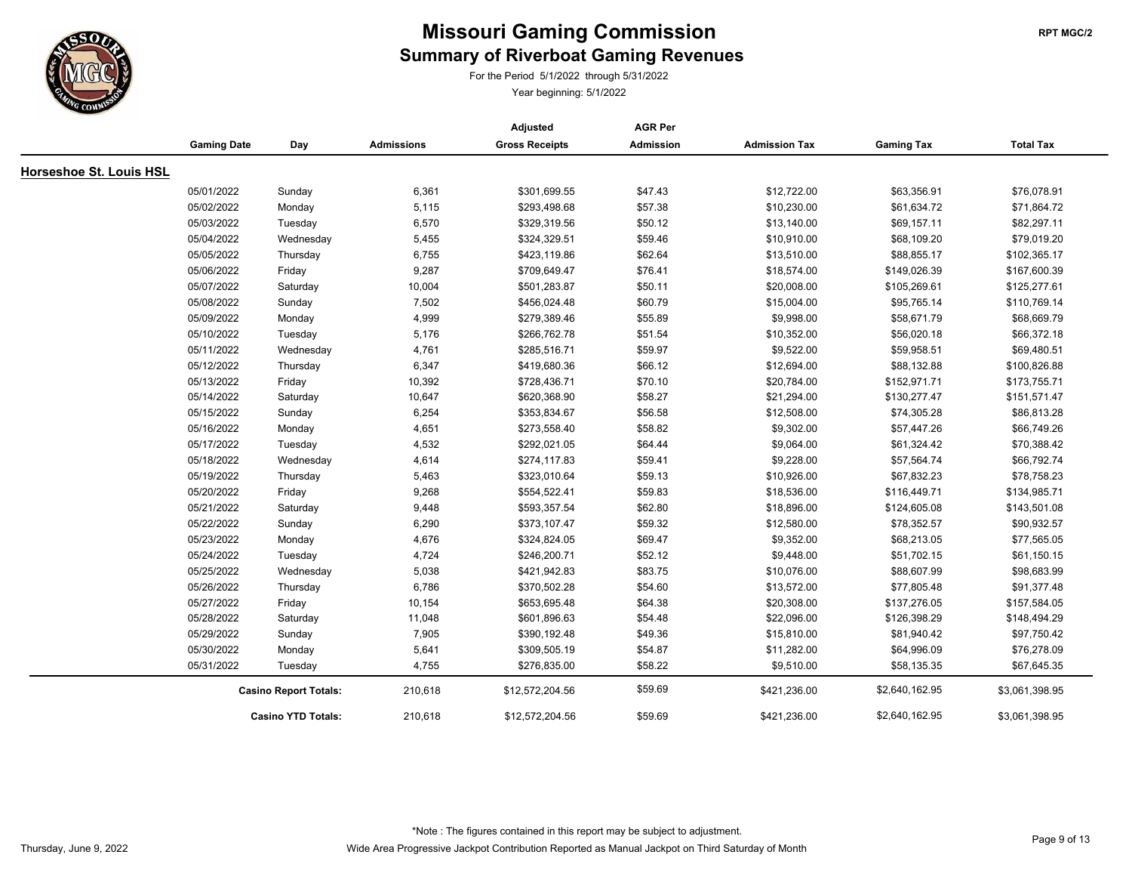

For the Period 5/1/2022 through 5/31/2022

|                         |                    |                              |                   | Adjusted              | <b>AGR Per</b> |                      |                   |                  |
|-------------------------|--------------------|------------------------------|-------------------|-----------------------|----------------|----------------------|-------------------|------------------|
|                         | <b>Gaming Date</b> | Day                          | <b>Admissions</b> | <b>Gross Receipts</b> | Admission      | <b>Admission Tax</b> | <b>Gaming Tax</b> | <b>Total Tax</b> |
| Horseshoe St. Louis HSL |                    |                              |                   |                       |                |                      |                   |                  |
|                         | 05/01/2022         | Sunday                       | 6,361             | \$301,699.55          | \$47.43        | \$12,722.00          | \$63,356.91       | \$76,078.91      |
|                         | 05/02/2022         | Monday                       | 5,115             | \$293,498.68          | \$57.38        | \$10,230.00          | \$61,634.72       | \$71,864.72      |
|                         | 05/03/2022         | Tuesday                      | 6,570             | \$329,319.56          | \$50.12        | \$13,140.00          | \$69,157.11       | \$82,297.11      |
|                         | 05/04/2022         | Wednesday                    | 5,455             | \$324,329.51          | \$59.46        | \$10,910.00          | \$68,109.20       | \$79,019.20      |
|                         | 05/05/2022         | Thursday                     | 6,755             | \$423,119.86          | \$62.64        | \$13,510.00          | \$88,855.17       | \$102,365.17     |
|                         | 05/06/2022         | Friday                       | 9,287             | \$709,649.47          | \$76.41        | \$18,574.00          | \$149,026.39      | \$167,600.39     |
|                         | 05/07/2022         | Saturday                     | 10,004            | \$501,283.87          | \$50.11        | \$20,008.00          | \$105,269.61      | \$125,277.61     |
|                         | 05/08/2022         | Sunday                       | 7,502             | \$456,024.48          | \$60.79        | \$15,004.00          | \$95,765.14       | \$110,769.14     |
|                         | 05/09/2022         | Monday                       | 4,999             | \$279,389.46          | \$55.89        | \$9,998.00           | \$58,671.79       | \$68,669.79      |
|                         | 05/10/2022         | Tuesday                      | 5,176             | \$266,762.78          | \$51.54        | \$10,352.00          | \$56,020.18       | \$66,372.18      |
|                         | 05/11/2022         | Wednesday                    | 4,761             | \$285,516.71          | \$59.97        | \$9,522.00           | \$59,958.51       | \$69,480.51      |
|                         | 05/12/2022         | Thursday                     | 6,347             | \$419,680.36          | \$66.12        | \$12,694.00          | \$88,132.88       | \$100,826.88     |
|                         | 05/13/2022         | Friday                       | 10,392            | \$728,436.71          | \$70.10        | \$20,784.00          | \$152,971.71      | \$173,755.71     |
|                         | 05/14/2022         | Saturday                     | 10,647            | \$620,368.90          | \$58.27        | \$21,294.00          | \$130,277.47      | \$151,571.47     |
|                         | 05/15/2022         | Sunday                       | 6,254             | \$353,834.67          | \$56.58        | \$12,508.00          | \$74,305.28       | \$86,813.28      |
|                         | 05/16/2022         | Monday                       | 4,651             | \$273,558.40          | \$58.82        | \$9,302.00           | \$57,447.26       | \$66,749.26      |
|                         | 05/17/2022         | Tuesday                      | 4,532             | \$292,021.05          | \$64.44        | \$9,064.00           | \$61,324.42       | \$70,388.42      |
|                         | 05/18/2022         | Wednesday                    | 4,614             | \$274,117.83          | \$59.41        | \$9,228.00           | \$57,564.74       | \$66,792.74      |
|                         | 05/19/2022         | Thursday                     | 5,463             | \$323,010.64          | \$59.13        | \$10,926.00          | \$67,832.23       | \$78,758.23      |
|                         | 05/20/2022         | Friday                       | 9,268             | \$554,522.41          | \$59.83        | \$18,536.00          | \$116,449.71      | \$134,985.71     |
|                         | 05/21/2022         | Saturday                     | 9,448             | \$593,357.54          | \$62.80        | \$18,896.00          | \$124,605.08      | \$143,501.08     |
|                         | 05/22/2022         | Sunday                       | 6,290             | \$373,107.47          | \$59.32        | \$12,580.00          | \$78,352.57       | \$90,932.57      |
|                         | 05/23/2022         | Monday                       | 4,676             | \$324,824.05          | \$69.47        | \$9,352.00           | \$68,213.05       | \$77,565.05      |
|                         | 05/24/2022         | Tuesday                      | 4,724             | \$246,200.71          | \$52.12        | \$9,448.00           | \$51,702.15       | \$61,150.15      |
|                         | 05/25/2022         | Wednesday                    | 5,038             | \$421,942.83          | \$83.75        | \$10,076.00          | \$88,607.99       | \$98,683.99      |
|                         | 05/26/2022         | Thursday                     | 6,786             | \$370,502.28          | \$54.60        | \$13,572.00          | \$77,805.48       | \$91,377.48      |
|                         | 05/27/2022         | Friday                       | 10,154            | \$653,695.48          | \$64.38        | \$20,308.00          | \$137,276.05      | \$157,584.05     |
|                         | 05/28/2022         | Saturday                     | 11,048            | \$601,896.63          | \$54.48        | \$22,096.00          | \$126,398.29      | \$148,494.29     |
|                         | 05/29/2022         | Sunday                       | 7,905             | \$390,192.48          | \$49.36        | \$15,810.00          | \$81,940.42       | \$97,750.42      |
|                         | 05/30/2022         | Monday                       | 5,641             | \$309,505.19          | \$54.87        | \$11,282.00          | \$64,996.09       | \$76,278.09      |
|                         | 05/31/2022         | Tuesday                      | 4,755             | \$276,835.00          | \$58.22        | \$9,510.00           | \$58,135.35       | \$67,645.35      |
|                         |                    | <b>Casino Report Totals:</b> | 210,618           | \$12,572,204.56       | \$59.69        | \$421,236.00         | \$2,640,162.95    | \$3,061,398.95   |
|                         |                    | <b>Casino YTD Totals:</b>    | 210,618           | \$12,572,204.56       | \$59.69        | \$421,236.00         | \$2,640,162.95    | \$3,061,398.95   |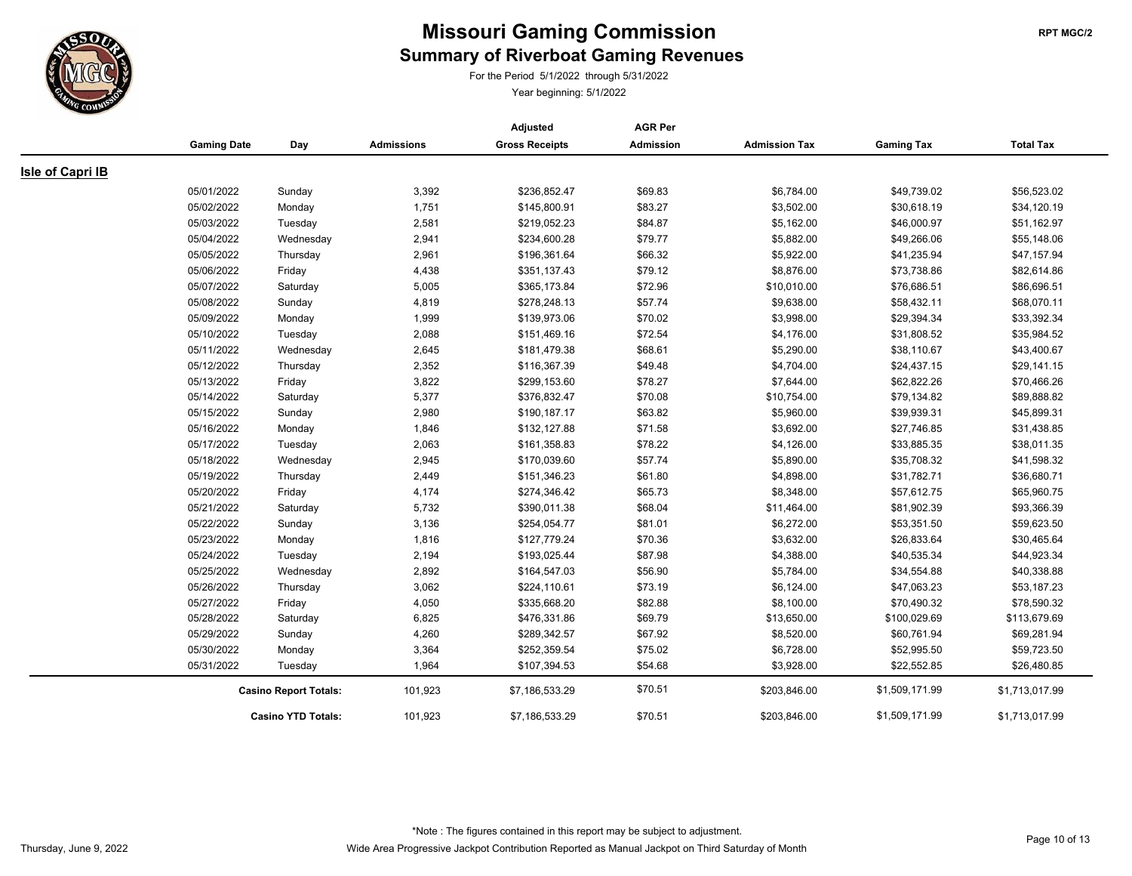

For the Period 5/1/2022 through 5/31/2022

|                         |                    |                              |                   | Adjusted              | <b>AGR Per</b>   |                      |                   |                  |
|-------------------------|--------------------|------------------------------|-------------------|-----------------------|------------------|----------------------|-------------------|------------------|
|                         | <b>Gaming Date</b> | Day                          | <b>Admissions</b> | <b>Gross Receipts</b> | <b>Admission</b> | <b>Admission Tax</b> | <b>Gaming Tax</b> | <b>Total Tax</b> |
| <b>Isle of Capri IB</b> |                    |                              |                   |                       |                  |                      |                   |                  |
|                         | 05/01/2022         | Sunday                       | 3,392             | \$236,852.47          | \$69.83          | \$6,784.00           | \$49,739.02       | \$56,523.02      |
|                         | 05/02/2022         | Monday                       | 1,751             | \$145,800.91          | \$83.27          | \$3,502.00           | \$30,618.19       | \$34,120.19      |
|                         | 05/03/2022         | Tuesday                      | 2,581             | \$219,052.23          | \$84.87          | \$5,162.00           | \$46,000.97       | \$51,162.97      |
|                         | 05/04/2022         | Wednesday                    | 2,941             | \$234,600.28          | \$79.77          | \$5,882.00           | \$49,266.06       | \$55,148.06      |
|                         | 05/05/2022         | Thursday                     | 2,961             | \$196,361.64          | \$66.32          | \$5,922.00           | \$41,235.94       | \$47,157.94      |
|                         | 05/06/2022         | Friday                       | 4,438             | \$351,137.43          | \$79.12          | \$8,876.00           | \$73,738.86       | \$82,614.86      |
|                         | 05/07/2022         | Saturday                     | 5,005             | \$365,173.84          | \$72.96          | \$10,010.00          | \$76,686.51       | \$86,696.51      |
|                         | 05/08/2022         | Sunday                       | 4,819             | \$278,248.13          | \$57.74          | \$9,638.00           | \$58,432.11       | \$68,070.11      |
|                         | 05/09/2022         | Monday                       | 1,999             | \$139,973.06          | \$70.02          | \$3,998.00           | \$29,394.34       | \$33,392.34      |
|                         | 05/10/2022         | Tuesday                      | 2,088             | \$151,469.16          | \$72.54          | \$4,176.00           | \$31,808.52       | \$35,984.52      |
|                         | 05/11/2022         | Wednesday                    | 2,645             | \$181,479.38          | \$68.61          | \$5,290.00           | \$38,110.67       | \$43,400.67      |
|                         | 05/12/2022         | Thursday                     | 2,352             | \$116,367.39          | \$49.48          | \$4,704.00           | \$24,437.15       | \$29,141.15      |
|                         | 05/13/2022         | Friday                       | 3,822             | \$299,153.60          | \$78.27          | \$7,644.00           | \$62,822.26       | \$70,466.26      |
|                         | 05/14/2022         | Saturday                     | 5,377             | \$376,832.47          | \$70.08          | \$10,754.00          | \$79,134.82       | \$89,888.82      |
|                         | 05/15/2022         | Sunday                       | 2,980             | \$190,187.17          | \$63.82          | \$5,960.00           | \$39,939.31       | \$45,899.31      |
|                         | 05/16/2022         | Monday                       | 1,846             | \$132,127.88          | \$71.58          | \$3,692.00           | \$27,746.85       | \$31,438.85      |
|                         | 05/17/2022         | Tuesday                      | 2,063             | \$161,358.83          | \$78.22          | \$4,126.00           | \$33,885.35       | \$38,011.35      |
|                         | 05/18/2022         | Wednesday                    | 2,945             | \$170,039.60          | \$57.74          | \$5,890.00           | \$35,708.32       | \$41,598.32      |
|                         | 05/19/2022         | Thursday                     | 2,449             | \$151,346.23          | \$61.80          | \$4,898.00           | \$31,782.71       | \$36,680.71      |
|                         | 05/20/2022         | Friday                       | 4,174             | \$274,346.42          | \$65.73          | \$8,348.00           | \$57,612.75       | \$65,960.75      |
|                         | 05/21/2022         | Saturday                     | 5,732             | \$390,011.38          | \$68.04          | \$11,464.00          | \$81,902.39       | \$93,366.39      |
|                         | 05/22/2022         | Sunday                       | 3,136             | \$254,054.77          | \$81.01          | \$6,272.00           | \$53,351.50       | \$59,623.50      |
|                         | 05/23/2022         | Monday                       | 1,816             | \$127,779.24          | \$70.36          | \$3,632.00           | \$26,833.64       | \$30,465.64      |
|                         | 05/24/2022         | Tuesday                      | 2,194             | \$193,025.44          | \$87.98          | \$4,388.00           | \$40,535.34       | \$44,923.34      |
|                         | 05/25/2022         | Wednesday                    | 2,892             | \$164,547.03          | \$56.90          | \$5,784.00           | \$34,554.88       | \$40,338.88      |
|                         | 05/26/2022         | Thursday                     | 3,062             | \$224,110.61          | \$73.19          | \$6,124.00           | \$47,063.23       | \$53,187.23      |
|                         | 05/27/2022         | Friday                       | 4,050             | \$335,668.20          | \$82.88          | \$8,100.00           | \$70,490.32       | \$78,590.32      |
|                         | 05/28/2022         | Saturday                     | 6,825             | \$476,331.86          | \$69.79          | \$13,650.00          | \$100,029.69      | \$113,679.69     |
|                         | 05/29/2022         | Sunday                       | 4,260             | \$289,342.57          | \$67.92          | \$8,520.00           | \$60,761.94       | \$69,281.94      |
|                         | 05/30/2022         | Monday                       | 3,364             | \$252,359.54          | \$75.02          | \$6,728.00           | \$52,995.50       | \$59,723.50      |
|                         | 05/31/2022         | Tuesday                      | 1,964             | \$107,394.53          | \$54.68          | \$3,928.00           | \$22,552.85       | \$26,480.85      |
|                         |                    | <b>Casino Report Totals:</b> | 101,923           | \$7,186,533.29        | \$70.51          | \$203,846.00         | \$1,509,171.99    | \$1,713,017.99   |
|                         |                    | <b>Casino YTD Totals:</b>    | 101,923           | \$7,186,533.29        | \$70.51          | \$203,846.00         | \$1,509,171.99    | \$1,713,017.99   |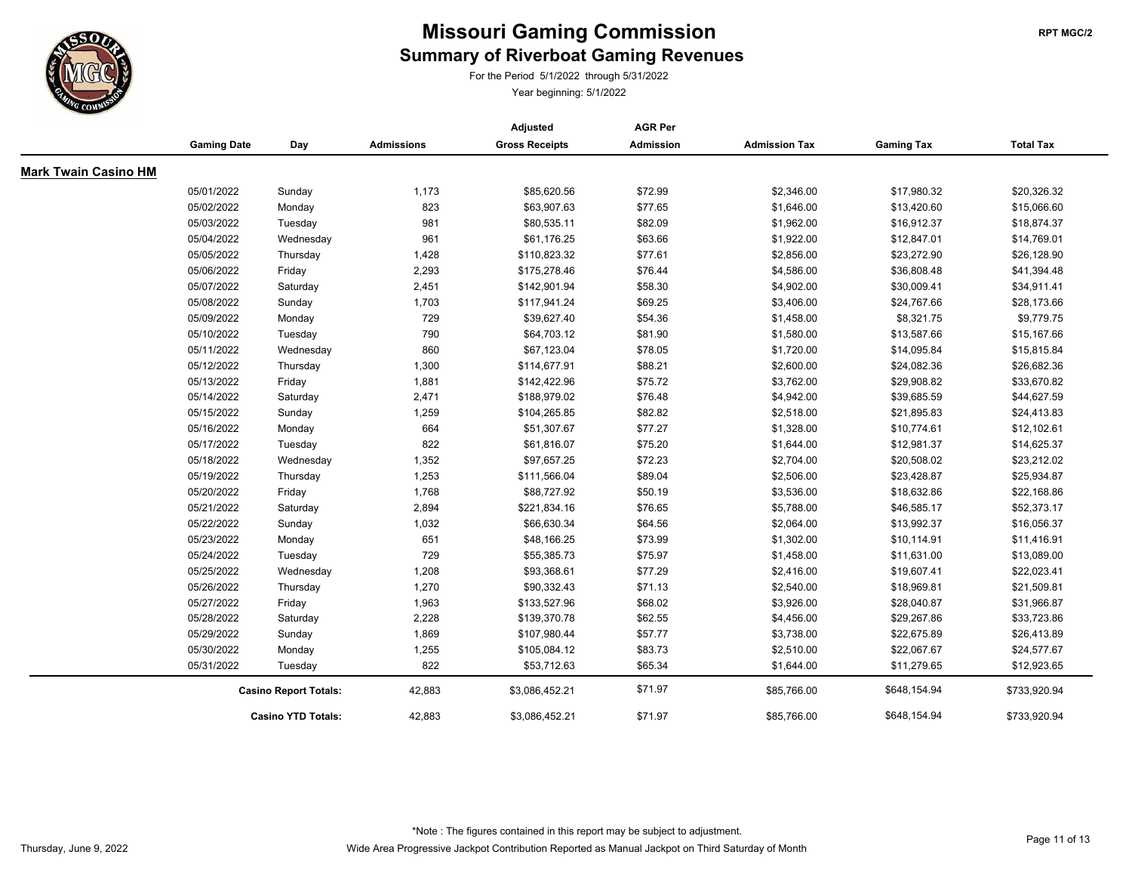

For the Period 5/1/2022 through 5/31/2022

|                             |                              |                           |                   | Adjusted              | <b>AGR Per</b>   |                      |                   |                  |
|-----------------------------|------------------------------|---------------------------|-------------------|-----------------------|------------------|----------------------|-------------------|------------------|
|                             | <b>Gaming Date</b>           | Day                       | <b>Admissions</b> | <b>Gross Receipts</b> | <b>Admission</b> | <b>Admission Tax</b> | <b>Gaming Tax</b> | <b>Total Tax</b> |
| <b>Mark Twain Casino HM</b> |                              |                           |                   |                       |                  |                      |                   |                  |
|                             | 05/01/2022                   | Sunday                    | 1,173             | \$85,620.56           | \$72.99          | \$2,346.00           | \$17,980.32       | \$20,326.32      |
|                             | 05/02/2022                   | Monday                    | 823               | \$63,907.63           | \$77.65          | \$1,646.00           | \$13,420.60       | \$15,066.60      |
|                             | 05/03/2022                   | Tuesday                   | 981               | \$80,535.11           | \$82.09          | \$1,962.00           | \$16,912.37       | \$18,874.37      |
|                             | 05/04/2022                   | Wednesday                 | 961               | \$61,176.25           | \$63.66          | \$1,922.00           | \$12,847.01       | \$14,769.01      |
|                             | 05/05/2022                   | Thursday                  | 1,428             | \$110,823.32          | \$77.61          | \$2,856.00           | \$23,272.90       | \$26,128.90      |
|                             | 05/06/2022                   | Friday                    | 2,293             | \$175,278.46          | \$76.44          | \$4,586.00           | \$36,808.48       | \$41,394.48      |
|                             | 05/07/2022                   | Saturday                  | 2,451             | \$142,901.94          | \$58.30          | \$4,902.00           | \$30,009.41       | \$34,911.41      |
|                             | 05/08/2022                   | Sunday                    | 1,703             | \$117,941.24          | \$69.25          | \$3,406.00           | \$24,767.66       | \$28,173.66      |
|                             | 05/09/2022                   | Monday                    | 729               | \$39,627.40           | \$54.36          | \$1,458.00           | \$8,321.75        | \$9,779.75       |
|                             | 05/10/2022                   | Tuesday                   | 790               | \$64,703.12           | \$81.90          | \$1,580.00           | \$13,587.66       | \$15,167.66      |
|                             | 05/11/2022                   | Wednesday                 | 860               | \$67,123.04           | \$78.05          | \$1,720.00           | \$14,095.84       | \$15,815.84      |
|                             | 05/12/2022                   | Thursday                  | 1,300             | \$114,677.91          | \$88.21          | \$2,600.00           | \$24,082.36       | \$26,682.36      |
|                             | 05/13/2022                   | Friday                    | 1,881             | \$142,422.96          | \$75.72          | \$3,762.00           | \$29,908.82       | \$33,670.82      |
|                             | 05/14/2022                   | Saturday                  | 2,471             | \$188,979.02          | \$76.48          | \$4,942.00           | \$39,685.59       | \$44,627.59      |
|                             | 05/15/2022                   | Sunday                    | 1,259             | \$104,265.85          | \$82.82          | \$2,518.00           | \$21,895.83       | \$24,413.83      |
|                             | 05/16/2022                   | Monday                    | 664               | \$51,307.67           | \$77.27          | \$1,328.00           | \$10,774.61       | \$12,102.61      |
|                             | 05/17/2022                   | Tuesday                   | 822               | \$61,816.07           | \$75.20          | \$1,644.00           | \$12,981.37       | \$14,625.37      |
|                             | 05/18/2022                   | Wednesday                 | 1,352             | \$97,657.25           | \$72.23          | \$2,704.00           | \$20,508.02       | \$23,212.02      |
|                             | 05/19/2022                   | Thursday                  | 1,253             | \$111,566.04          | \$89.04          | \$2,506.00           | \$23,428.87       | \$25,934.87      |
|                             | 05/20/2022                   | Friday                    | 1,768             | \$88,727.92           | \$50.19          | \$3,536.00           | \$18,632.86       | \$22,168.86      |
|                             | 05/21/2022                   | Saturday                  | 2,894             | \$221,834.16          | \$76.65          | \$5,788.00           | \$46,585.17       | \$52,373.17      |
|                             | 05/22/2022                   | Sunday                    | 1,032             | \$66,630.34           | \$64.56          | \$2,064.00           | \$13,992.37       | \$16,056.37      |
|                             | 05/23/2022                   | Monday                    | 651               | \$48,166.25           | \$73.99          | \$1,302.00           | \$10,114.91       | \$11,416.91      |
|                             | 05/24/2022                   | Tuesday                   | 729               | \$55,385.73           | \$75.97          | \$1,458.00           | \$11,631.00       | \$13,089.00      |
|                             | 05/25/2022                   | Wednesday                 | 1,208             | \$93,368.61           | \$77.29          | \$2,416.00           | \$19,607.41       | \$22,023.41      |
|                             | 05/26/2022                   | Thursday                  | 1,270             | \$90,332.43           | \$71.13          | \$2,540.00           | \$18,969.81       | \$21,509.81      |
|                             | 05/27/2022                   | Friday                    | 1,963             | \$133,527.96          | \$68.02          | \$3,926.00           | \$28,040.87       | \$31,966.87      |
|                             | 05/28/2022                   | Saturday                  | 2,228             | \$139,370.78          | \$62.55          | \$4,456.00           | \$29,267.86       | \$33,723.86      |
|                             | 05/29/2022                   | Sunday                    | 1,869             | \$107,980.44          | \$57.77          | \$3,738.00           | \$22,675.89       | \$26,413.89      |
|                             | 05/30/2022                   | Monday                    | 1,255             | \$105,084.12          | \$83.73          | \$2,510.00           | \$22,067.67       | \$24,577.67      |
|                             | 05/31/2022                   | Tuesday                   | 822               | \$53,712.63           | \$65.34          | \$1,644.00           | \$11,279.65       | \$12,923.65      |
|                             | <b>Casino Report Totals:</b> |                           | 42,883            | \$3,086,452.21        | \$71.97          | \$85,766.00          | \$648,154.94      | \$733,920.94     |
|                             |                              | <b>Casino YTD Totals:</b> | 42,883            | \$3,086,452.21        | \$71.97          | \$85,766.00          | \$648,154.94      | \$733,920.94     |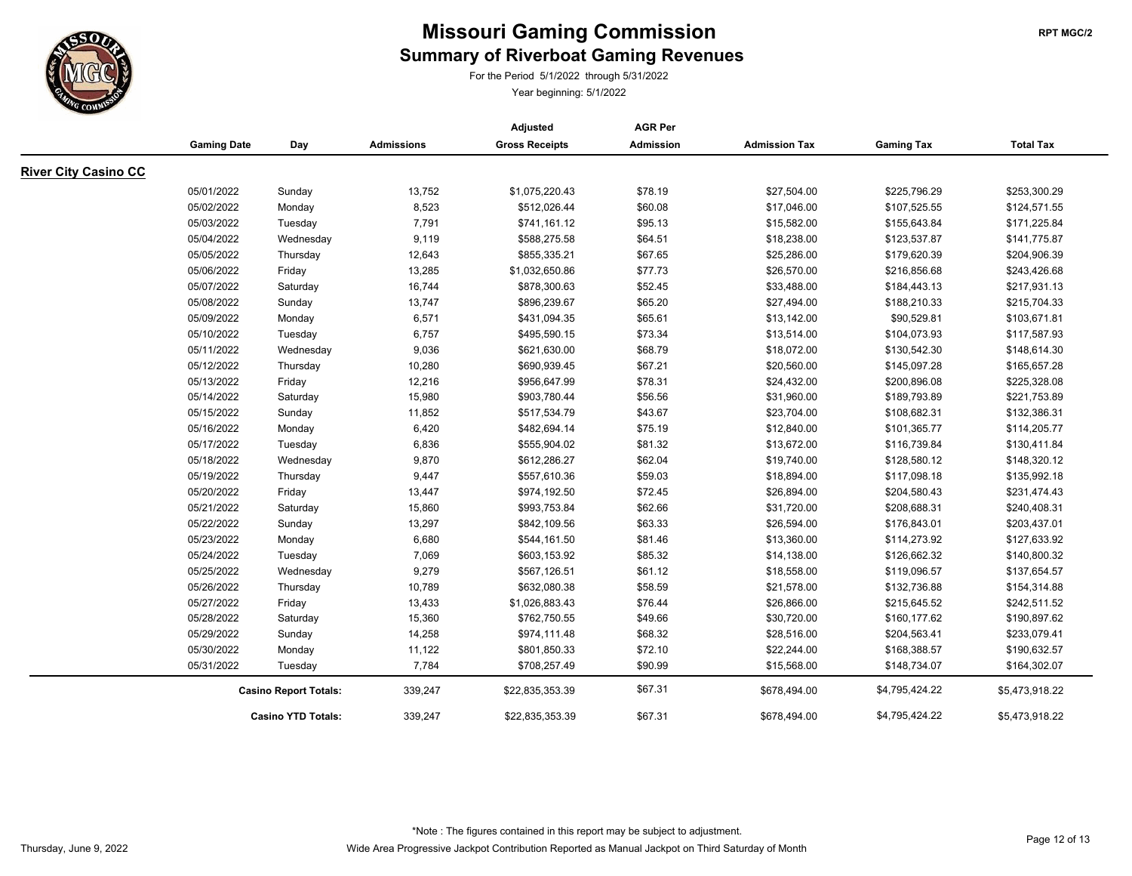

For the Period 5/1/2022 through 5/31/2022

|                             |                          |                              |                   | Adjusted                     | <b>AGR Per</b>     |                            |                              |                              |
|-----------------------------|--------------------------|------------------------------|-------------------|------------------------------|--------------------|----------------------------|------------------------------|------------------------------|
|                             | <b>Gaming Date</b>       | Day                          | <b>Admissions</b> | <b>Gross Receipts</b>        | <b>Admission</b>   | <b>Admission Tax</b>       | <b>Gaming Tax</b>            | <b>Total Tax</b>             |
| <b>River City Casino CC</b> |                          |                              |                   |                              |                    |                            |                              |                              |
|                             | 05/01/2022               | Sunday                       | 13,752            | \$1,075,220.43               | \$78.19            | \$27,504.00                | \$225,796.29                 | \$253,300.29                 |
|                             | 05/02/2022               | Monday                       | 8,523             | \$512,026.44                 | \$60.08            | \$17,046.00                | \$107,525.55                 | \$124,571.55                 |
|                             | 05/03/2022               | Tuesday                      | 7,791             | \$741,161.12                 | \$95.13            | \$15,582.00                | \$155,643.84                 | \$171,225.84                 |
|                             | 05/04/2022               | Wednesday                    | 9,119             | \$588,275.58                 | \$64.51            | \$18,238.00                | \$123,537.87                 | \$141,775.87                 |
|                             | 05/05/2022               | Thursday                     | 12,643            | \$855,335.21                 | \$67.65            | \$25,286.00                | \$179,620.39                 | \$204,906.39                 |
|                             | 05/06/2022               | Friday                       | 13,285            | \$1,032,650.86               | \$77.73            | \$26,570.00                | \$216,856.68                 | \$243,426.68                 |
|                             | 05/07/2022               | Saturday                     | 16,744            | \$878,300.63                 | \$52.45            | \$33,488.00                | \$184,443.13                 | \$217,931.13                 |
|                             | 05/08/2022               |                              | 13,747            | \$896,239.67                 | \$65.20            | \$27,494.00                | \$188,210.33                 | \$215,704.33                 |
|                             | 05/09/2022               | Sunday<br>Monday             | 6,571             | \$431,094.35                 | \$65.61            | \$13,142.00                | \$90,529.81                  | \$103,671.81                 |
|                             |                          |                              |                   |                              |                    |                            |                              |                              |
|                             | 05/10/2022<br>05/11/2022 | Tuesday                      | 6,757<br>9,036    | \$495,590.15<br>\$621,630.00 | \$73.34<br>\$68.79 | \$13,514.00<br>\$18,072.00 | \$104,073.93<br>\$130,542.30 | \$117,587.93<br>\$148,614.30 |
|                             |                          | Wednesday                    |                   |                              |                    |                            |                              |                              |
|                             | 05/12/2022<br>05/13/2022 | Thursday                     | 10,280<br>12,216  | \$690,939.45                 | \$67.21<br>\$78.31 | \$20,560.00<br>\$24,432.00 | \$145,097.28<br>\$200,896.08 | \$165,657.28<br>\$225,328.08 |
|                             | 05/14/2022               | Friday                       | 15,980            | \$956,647.99                 | \$56.56            |                            |                              |                              |
|                             |                          | Saturday                     |                   | \$903,780.44                 |                    | \$31,960.00                | \$189,793.89                 | \$221,753.89                 |
|                             | 05/15/2022               | Sunday                       | 11,852            | \$517,534.79                 | \$43.67            | \$23,704.00                | \$108,682.31                 | \$132,386.31                 |
|                             | 05/16/2022               | Monday                       | 6,420             | \$482,694.14                 | \$75.19            | \$12,840.00                | \$101,365.77                 | \$114,205.77                 |
|                             | 05/17/2022               | Tuesday                      | 6,836             | \$555,904.02                 | \$81.32            | \$13,672.00                | \$116,739.84                 | \$130,411.84                 |
|                             | 05/18/2022               | Wednesday                    | 9,870             | \$612,286.27                 | \$62.04            | \$19,740.00                | \$128,580.12                 | \$148,320.12                 |
|                             | 05/19/2022               | Thursday                     | 9,447             | \$557,610.36                 | \$59.03            | \$18,894.00                | \$117,098.18                 | \$135,992.18                 |
|                             | 05/20/2022               | Friday                       | 13,447            | \$974,192.50                 | \$72.45            | \$26,894.00                | \$204,580.43                 | \$231,474.43                 |
|                             | 05/21/2022               | Saturday                     | 15,860            | \$993,753.84                 | \$62.66            | \$31,720.00                | \$208,688.31                 | \$240,408.31                 |
|                             | 05/22/2022               | Sunday                       | 13,297            | \$842,109.56                 | \$63.33            | \$26,594.00                | \$176,843.01                 | \$203,437.01                 |
|                             | 05/23/2022               | Monday                       | 6,680             | \$544,161.50                 | \$81.46            | \$13,360.00                | \$114,273.92                 | \$127,633.92                 |
|                             | 05/24/2022               | Tuesday                      | 7,069             | \$603,153.92                 | \$85.32            | \$14,138.00                | \$126,662.32                 | \$140,800.32                 |
|                             | 05/25/2022               | Wednesday                    | 9,279             | \$567,126.51                 | \$61.12            | \$18,558.00                | \$119,096.57                 | \$137,654.57                 |
|                             | 05/26/2022               | Thursday                     | 10,789            | \$632,080.38                 | \$58.59            | \$21,578.00                | \$132,736.88                 | \$154,314.88                 |
|                             | 05/27/2022               | Friday                       | 13,433            | \$1,026,883.43               | \$76.44            | \$26,866.00                | \$215,645.52                 | \$242,511.52                 |
|                             | 05/28/2022               | Saturday                     | 15,360            | \$762,750.55                 | \$49.66            | \$30,720.00                | \$160,177.62                 | \$190,897.62                 |
|                             | 05/29/2022               | Sunday                       | 14,258            | \$974,111.48                 | \$68.32            | \$28,516.00                | \$204,563.41                 | \$233,079.41                 |
|                             | 05/30/2022               | Monday                       | 11,122            | \$801,850.33                 | \$72.10            | \$22,244.00                | \$168,388.57                 | \$190,632.57                 |
|                             | 05/31/2022               | Tuesday                      | 7,784             | \$708,257.49                 | \$90.99            | \$15,568.00                | \$148,734.07                 | \$164,302.07                 |
|                             |                          | <b>Casino Report Totals:</b> | 339,247           | \$22,835,353.39              | \$67.31            | \$678,494.00               | \$4,795,424.22               | \$5,473,918.22               |
|                             |                          | <b>Casino YTD Totals:</b>    | 339,247           | \$22,835,353.39              | \$67.31            | \$678,494.00               | \$4,795,424.22               | \$5,473,918.22               |